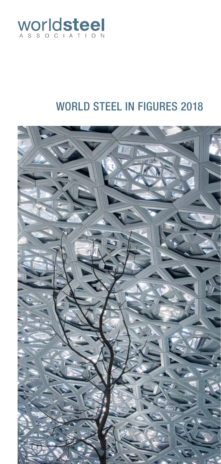

# WORLD STEEL IN FIGURES 2018

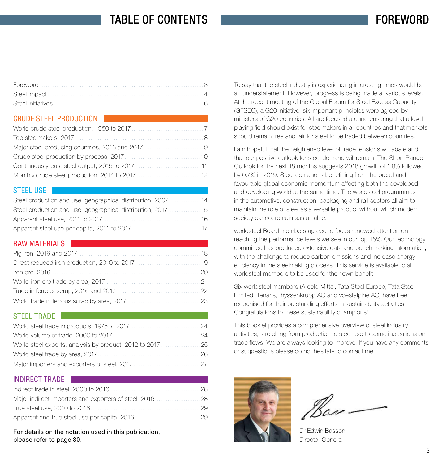# TABLE OF CONTENTS

### CRUDE STEEL PRODUCTION

### STEEL USE

| Steel production and use: geographical distribution, 2007  14 |  |
|---------------------------------------------------------------|--|
| Steel production and use: geographical distribution, 2017  15 |  |
|                                                               |  |
|                                                               |  |

### RAW MATFRIALS

### STEEL TRADE

### INDIRECT TRADE

For details on the notation used in this publication, [please refer to page 30.](#page--1-0)

To say that the steel industry is experiencing interesting times would be an understatement. However, progress is being made at various levels. At the recent meeting of the Global Forum for Steel Excess Capacity (GFSEC), a G20 initiative, six important principles were agreed by ministers of G20 countries. All are focused around ensuring that a level playing field should exist for steelmakers in all countries and that markets should remain free and fair for steel to be traded between countries.

I am hopeful that the heightened level of trade tensions will abate and that our positive outlook for steel demand will remain. The Short Range Outlook for the next 18 months suggests 2018 growth of 1.8% followed by 0.7% in 2019. Steel demand is benefitting from the broad and favourable global economic momentum affecting both the developed and developing world at the same time. The worldsteel programmes in the automotive, construction, packaging and rail sectors all aim to maintain the role of steel as a versatile product without which modern society cannot remain sustainable.

worldsteel Board members agreed to focus renewed attention on reaching the performance levels we see in our top 15%. Our technology committee has produced extensive data and benchmarking information, with the challenge to reduce carbon emissions and increase energy efficiency in the steelmaking process. This service is available to all worldsteel members to be used for their own benefit.

Six worldsteel members (ArcelorMittal, Tata Steel Europe, Tata Steel Limited, Tenaris, thyssenkrupp AG and voestalpine AG) have been recognised for their outstanding efforts in sustainability activities. Congratulations to these sustainability champions!

This booklet provides a comprehensive overview of steel industry activities, stretching from production to steel use to some indications on trade flows. We are always looking to improve. If you have any comments or suggestions please do not hesitate to contact me.



Dr Edwin Basson Director General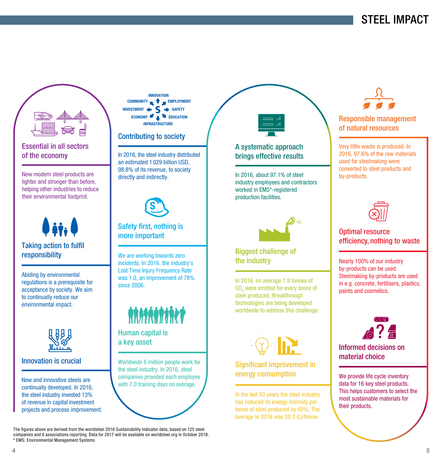<span id="page-2-0"></span>

### Essential in all sectors of the economy

New modern steel products are lighter and stronger than before. helping other industries to reduce their environmental footprint.



Abiding by environmental regulations is a prerequisite for acceptance by society. We aim to continually reduce our environmental impact.



#### Innovation is crucial

New and innovative steels are continually developed. In 2016, the steel industry invested 13% of revenue in capital investment projects and process improvement.



#### Contributing to society

In 2016, the steel industry distributed an estimated 1 029 billion USD, 98.8% of its revenue, to society directly and indirectly.



### Safety first, nothing is more important

We are working towards zero incidents. In 2016, the industry's Lost Time Injury Frequency Rate was 1.0, an improvement of 78% since 2006



Human capital is a key asset

Worldwide 6 million people work for the steel industry. In 2016, steel companies provided each employee with 7.0 training days on average.

The figures above are derived from the worldsteel 2016 Sustainability Indicator data, based on 125 steel companies and 6 associations reporting. Data for 2017 will be available on worldsteel.org in October 2018. \* EMS: Environmental Management Systems



### A systematic approach brings effective results

In 2016, about 97.1% of steel industry employees and contractors worked in FMS<sup>\*</sup>-registered production facilities.



### Biggest challenge of the industry

In 2016, on average 1.9 tonnes of  $\mathrm{CO}_2^{}$  were emitted for every tonne of steel produced. Breakthrough technologies are being developed worldwide to address this challenge.



### Significant improvement in energy consumption

In the last 50 years the steel industry has reduced its energy intensity per tonne of steel produced by 60%. The average in 2016 was 20.3 GJ/tonne.



### Responsible management of natural resources

Very little waste is produced. In 2016, 97.6% of the raw materials used for steelmaking were converted to steel products and by-products.



### Optimal resource efficiency, nothing to waste

Nearly 100% of our industry by-products can be used. Steelmaking by-products are used in e.g. concrete, fertilisers, plastics, paints and cosmetics.



Informed decisions on material choice

We provide life cycle inventory data for 16 key steel products. This helps customers to select the most sustainable materials for their products.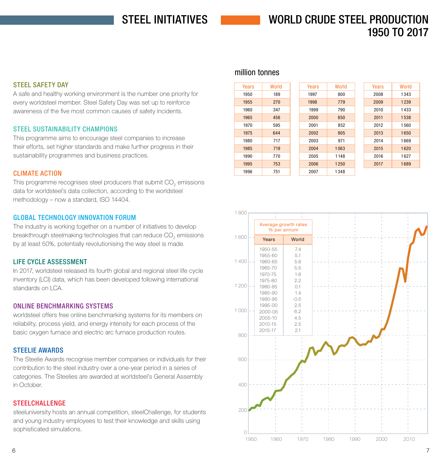# STEEL INITIATIVES

# WORLD CRUDE STEEL PRODUCTION 1950 TO 2017

#### <span id="page-3-0"></span>STEEL SAFETY DAY

A safe and healthy working environment is the number one priority for every worldsteel member. Steel Safety Day was set up to reinforce awareness of the five most common causes of safety incidents.

#### STEEL SUSTAINABILITY CHAMPIONS

This programme aims to encourage steel companies to increase their efforts, set higher standards and make further progress in their sustainability programmes and business practices.

#### CLIMATE ACTION

This programme recognises steel producers that submit CO<sub>2</sub> emissions data for worldsteel's data collection, according to the worldsteel methodology – now a standard, ISO 14404.

#### GLOBAL TECHNOLOGY INNOVATION FORUM

The industry is working together on a number of initiatives to develop breakthrough steelmaking technologies that can reduce CO<sub>2</sub> emissions by at least 50%, potentially revolutionising the way steel is made.

#### LIFE CYCLE ASSESSMENT

In 2017, worldsteel released its fourth global and regional steel life cycle inventory (LCI) data, which has been developed following international standards on LCA.

#### ONLINE BENCHMARKING SYSTEMS

worldsteel offers free online benchmarking systems for its members on reliability, process yield, and energy intensity for each process of the basic oxygen furnace and electric arc furnace production routes.

#### STEELIE AWARDS

The Steelie Awards recognise member companies or individuals for their contribution to the steel industry over a one-year period in a series of categories. The Steelies are awarded at worldsteel's General Assembly in October.

#### **STEELCHALLENGE**

steeluniversity hosts an annual competition, steelChallenge, for students and young industry employees to test their knowledge and skills using sophisticated simulations.

### million tonnes

| Years | World |
|-------|-------|
| 1950  | 189   |
| 1955  | 270   |
| 1960  | 347   |
| 1965  | 456   |
| 1970  | 595   |
| 1975  | 644   |
| 1980  | 717   |
| 1985  | 719   |
| 1990  | 770   |
| 1995  | 753   |
| 1996  | 751   |

| Years | World |
|-------|-------|
| 2008  | 1343  |
| 2009  | 1239  |
| 2010  | 1433  |
| 2011  | 1538  |
| 2012  | 1560  |
| 2013  | 1650  |
| 2014  | 1669  |
| 2015  | 1620  |
| 2016  | 1627  |
| 2017  | 1689  |
|       |       |

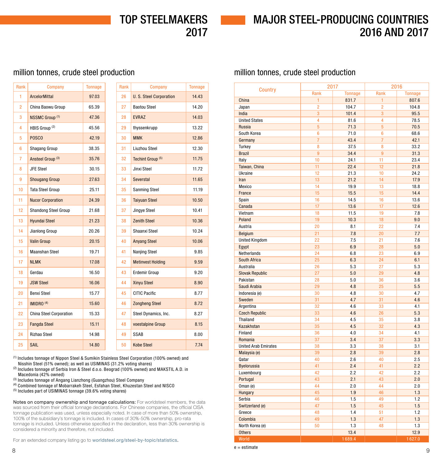# TOP STEELMAKERS 2017

# MAJOR STEEL-PRODUCING COUNTRIES 2016 AND 2017

### <span id="page-4-0"></span>million tonnes, crude steel production

| Rank           | Company                        | <b>Tonnage</b> | Rank | Company                       | <b>Tonnage</b> |
|----------------|--------------------------------|----------------|------|-------------------------------|----------------|
| 1              | <b>ArcelorMittal</b>           | 97.03          | 26   | <b>U.S. Steel Corporation</b> | 14.43          |
| 2              | China Baowu Group              | 65.39          | 27   | <b>Baotou Steel</b>           | 14.20          |
| 3              | <b>NSSMC Group (1)</b>         | 47.36          | 28   | <b>EVRAZ</b>                  | 14.03          |
| 4              | HBIS Group <sup>(2)</sup>      | 45.56          | 29   | thyssenkrupp                  | 13.22          |
| 5              | POSCO                          | 42.19          | 30   | <b>MMK</b>                    | 12.86          |
| 6              | Shagang Group                  | 38.35          | 31   | <b>Liuzhou Steel</b>          | 12.30          |
| $\overline{7}$ | Ansteel Group <sup>(3)</sup>   | 35.76          | 32   | Techint Group <sup>(5)</sup>  | 11.75          |
| 8              | <b>JFE Steel</b>               | 30.15          | 33   | Jinxi Steel                   | 11.72          |
| 9              | <b>Shougang Group</b>          | 27.63          | 34   | Severstal                     | 11.65          |
| 10             | <b>Tata Steel Group</b>        | 25.11          | 35   | Sanming Steel                 | 11.19          |
| 11             | <b>Nucor Corporation</b>       | 24.39          | 36   | <b>Taiyuan Steel</b>          | 10.50          |
| 12             | <b>Shandong Steel Group</b>    | 21.68          | 37   | Jingye Steel                  | 10.41          |
| 13             | <b>Hyundai Steel</b>           | 21.23          | 38   | <b>Zenith Steel</b>           | 10.36          |
| 14             | Jianlong Group                 | 20.26          | 39   | Shaanxi Steel                 | 10.24          |
| 15             | <b>Valin Group</b>             | 20.15          | 40   | <b>Anyang Steel</b>           | 10.06          |
| 16             | <b>Maanshan Steel</b>          | 19.71          | 41   | Nanjing Steel                 | 9.85           |
| 17             | <b>NLMK</b>                    | 17.08          | 42   | <b>Metinvest Holding</b>      | 9.59           |
| 18             | Gerdau                         | 16.50          | 43   | Erdemir Group                 | 9.20           |
| 19             | <b>JSW Steel</b>               | 16.06          | 44   | <b>Xinyu Steel</b>            | 8.90           |
| 20             | <b>Benxi Steel</b>             | 15.77          | 45   | <b>CITIC Pacific</b>          | 8.77           |
| 21             | IMIDRO <sup>(4)</sup>          | 15.60          | 46   | <b>Zongheng Steel</b>         | 8.72           |
| 22             | <b>China Steel Corporation</b> | 15.33          | 47   | Steel Dynamics, Inc.          | 8.27           |
| 23             | <b>Fangda Steel</b>            | 15.11          | 48   | voestalpine Group             | 8.15           |
| 24             | <b>Rizhao Steel</b>            | 14.98          | 49   | SSAB                          | 8.00           |
| 25             | SAIL                           | 14.80          | 50   | <b>Kobe Steel</b>             | 7.74           |

(1) Includes tonnage of Nippon Steel & Sumikin Stainless Steel Corporation (100% owned) and Nisshin Steel (51% owned); as well as USIMINAS (31.2% voting shares)

(2) Includes tonnage of Serbia Iron & Steel d.o.o. Beograd (100% owned) and MAKSTIL A.D. in Macedonia (42% owned)

(3) Includes tonnage of Angang Lianzhong (Guangzhou) Steel Company

(4) Combined tonnage of Mobarrakeh Steel, Esfahan Steel, Khuzestan Steel and NISCO

(5) Includes part of USIMINAS tonnage (39.6% voting shares)

Notes on company ownership and tonnage calculations: For worldsteel members, the data was sourced from their official tonnage declarations. For Chinese companies, the official CISA tonnage publication was used, unless especially noted. In case of more than 50% ownership, 100% of the subsidiary's tonnage is included. In cases of 30%-50% ownership, pro-rata tonnage is included. Unless otherwise specified in the declaration, less than 30% ownership is considered a minority and therefore, not included.

For an extended company listing go to [worldsteel.org/steel-by-topic/statistics](http://worldsteel.org/steel-by-topic/statistics).

### million tonnes, crude steel production

|                                  | 2017            |                | 2016           |                |  |
|----------------------------------|-----------------|----------------|----------------|----------------|--|
| <b>Country</b>                   | Rank            | <b>Tonnage</b> | Rank           | <b>Tonnage</b> |  |
| China                            | 1               | 831.7          | $\mathbf{1}$   | 807.6          |  |
| Japan                            | $\overline{2}$  | 104.7          | $\overline{2}$ | 104.8          |  |
| India                            | 3               | 101.4          | 3              | 95.5           |  |
| <b>United States</b>             | $\overline{4}$  | 81.6           | 4              | 78.5           |  |
| <b>Russia</b>                    | 5               | 71.3           | 5              | 70.5           |  |
| South Korea                      | $6\phantom{1}6$ | 71.0           | 6              | 68.6           |  |
| Germany                          | $\overline{7}$  | 43.4           | $\overline{7}$ | 42.1           |  |
| Turkey                           | 8               | 37.5           | 8              | 33.2           |  |
| <b>Brazil</b>                    | $\overline{9}$  | 34.4           | $\overline{9}$ | 31.3           |  |
| Italy                            | 10              | 24.1           | 11             | 23.4           |  |
| Taiwan, China                    | 11              | 22.4           | 12             | 21.8           |  |
| Ukraine                          | 12              | 21.3           | 10             | 24.2           |  |
| Iran                             | 13              | 21.2           | 14             | 17.9           |  |
| Mexico                           | 14              | 19.9           | 13             | 18.8           |  |
| France                           | 15              | 15.5           | 15             | 14.4           |  |
| Spain                            | 16              | 14.5           | 16             | 13.6           |  |
| Canada                           | 17              | 13.6           | 17             | 12.6           |  |
| Vietnam                          | 18              | 11.5           | 19             | 7.8            |  |
| Poland                           | 19              | 10.3           | 18             | 9.0            |  |
| Austria                          | 20              | 8.1            | 22             | 7.4            |  |
| Belgium                          | 21              | 7.8            | 20             | 7.7            |  |
| <b>United Kingdom</b>            | 22              | 7.5            | 21             | 7.6            |  |
| Egypt                            | 23              | 6.9            | 28             | 5.0            |  |
| Netherlands                      | 24              | 6.8            | 23             | 6.9            |  |
| South Africa                     | 25              | 6.3            | 24             | 6.1            |  |
| Australia                        | 26              | 5.3            | 27             | 5.3            |  |
| <b>Slovak Republic</b>           | 27              | 5.0            | 29             | 4.8            |  |
| Pakistan                         | 28              | 5.0            | 36             | 3.6            |  |
| Saudi Arabia                     | 29              | 4.8            | 25             | 5.5            |  |
| Indonesia (e)                    | 30              | 4.8            | 30             | 4.7            |  |
| Sweden                           | 31              | 4.7            | 31             | 4.6            |  |
| Argentina                        | 32              | 4.6            | 33             | 4.1            |  |
| <b>Czech Republic</b>            | 33              | 4.6            | 26             | 5.3            |  |
| Thailand                         | 34              | 4.5            | 35             | 3.8            |  |
| Kazakhstan                       | 35              | 4.5            | 32             | 4.3            |  |
| Finland                          | 36              | 4.0            | 34             | 4.1            |  |
| Romania                          | 37              | 3.4            | 37             | 3.3            |  |
| <b>United Arab Emirates</b>      | 38              | 3.3            | 38             | 3.1            |  |
| Malaysia (e)                     | 39              | 2.8            | 39             | 2.8            |  |
| Qatar                            | 40              | 2.6            | 40             | 2.5            |  |
| <b>Byelorussia</b>               | 41              | 2.4            | 41             | 2.2            |  |
| Luxembourg                       | 42              | 2.2            | 42             | 2.2            |  |
| Portugal                         | 43              | 2.1            | 43             | 2.0            |  |
| Oman (e)                         | 44              | 2.0            | 44             | 2.0            |  |
| Hungary                          | 45              | 1.9            | 46             | 1.3            |  |
| Serbia                           | 46              | 1.5            | 49             | 1.2            |  |
| Switzerland (e)                  | 47              | 1.5            | 45             | 1.5            |  |
| Greece                           | 48              | 1.4            | 51             | 1.2            |  |
| Colombia                         | 49              | 1.3            | 47             | 1.3            |  |
| North Korea (e)<br><b>Others</b> | 50              | 1.3<br>13.4    | 48             | 1.3<br>12.9    |  |
|                                  |                 | 1689.4         |                |                |  |
| World                            |                 |                |                | 1627.0         |  |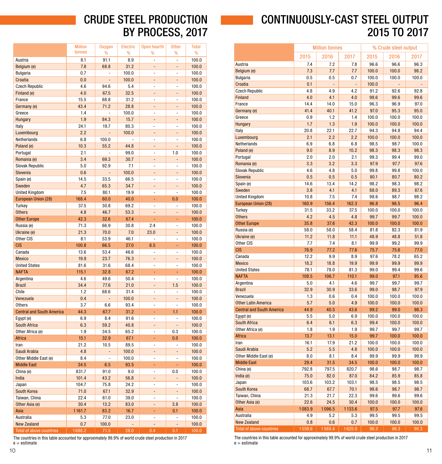# CONTINUOUSLY-CAST STEEL OUTPUT 2015 TO 2017

|                                  | <b>Million tonnes</b> |                | % Crude steel output |              |              |              |
|----------------------------------|-----------------------|----------------|----------------------|--------------|--------------|--------------|
|                                  | 2015                  | 2016<br>2017   |                      | 2015         | 2017         |              |
| Austria                          | 7.4                   | 7.2            | 7.8                  | 96.6         | 96.6         | 96.3         |
| Belgium (e)                      | 7.3                   | 7.7            | 7.7                  | 100.0        | 100.0        | 98.2         |
| Bulgaria                         | 0.5                   | 0.5            | 0.7                  | 100.0        | 100.0        | 100.0        |
| Croatia                          | 0.1                   | $\overline{a}$ | L,                   | 100.0        |              |              |
| <b>Czech Republic</b>            | 4.8                   | 4.9            | 4.2                  | 91.2         | 92.6         | 92.8         |
| Finland                          | 4.0                   | 4.1            | 4.0                  | 99.6         | 99.6         | 99.6         |
| France                           | 14.4                  | 14.0           | 15.0                 | 96.3         | 96.9         | 97.0         |
| Germany (e)                      | 41.4                  | 40.1           | 41.2                 | 97.0         | 95.3         | 95.0         |
| Greece                           | 0.9                   | 1.2            | 1.4                  | 100.0        | 100.0        | 100.0        |
| Hungary                          | 1.7                   | 1.3            | 1.9                  | 100.0        | 100.0        | 100.0        |
| Italy                            | 20.8                  | 22.1           | 22.7                 | 94.3         | 94.8         | 94.4         |
| Luxembourg                       | 2.1                   | 2.2            | 2.2                  | 100.0        | 100.0        | 100.0        |
| Netherlands                      | 6.9                   | 6.8            | 6.8                  | 98.5         | 98.7         | 100.0        |
| Poland (e)                       | 9.0                   | 8.9            | 10.2                 | 98.3         | 98.3         | 98.3         |
| Portugal                         | 2.0                   | 2.0            | 2.1                  | 99.3         | 99.4         | 99.0         |
| Romania (e)                      | 3.3                   | 3.2            | 3.3                  | 97.9         | 97.7         | 97.6         |
| <b>Slovak Republic</b>           | 4.6                   | 4.8            | 5.0                  | 99.8         | 99.8         | 100.0        |
| Slovenia                         | 0.5                   | 0.5            | 0.5                  | 80.1         | 80.7         | 80.2         |
| Spain (e)                        | 14.6                  | 13.4           | 14.2                 | 98.2         | 98.3         | 98.2         |
| Sweden                           | 3.8                   | 4.1            | 4.1                  | 88.0         | 89.3         | 87.6         |
| <b>United Kingdom</b>            | 10.8                  | 7.5            | 7.4                  | 98.6         | 98.7         | 98.2         |
| European Union (28)              | 160.9                 | 156.4          | 162.3                | 96.8         | 96.5         | 96.4         |
| Turkey                           | 31.5                  | 33.2           | 37.5                 | 100.0        | 100.0        | 100.0        |
| <b>Others</b>                    | 4.2                   | 4.5            | 4.8                  | 99.7         | 99.7         | 100.0        |
| <b>Other Europe</b>              | 35.8                  | 37.6           | 42.3                 | 100.0        | 100.0        | 100.0        |
|                                  |                       |                | 58.4                 |              | 82.3         |              |
| Russia (e)                       | 58.0<br>11.2          | 58.0<br>11.8   |                      | 81.8<br>48.9 | 48.8         | 81.9<br>51.8 |
| Ukraine (e)<br>Other CIS         | 7.7                   | 7.4            | 11.1<br>8.1          |              | 99.2         | 99.9         |
| <b>CIS</b>                       |                       |                |                      | 99.9         |              |              |
|                                  | 76.9                  | 77.2           | 77.6                 | 75.7         | 75.6         | 77.0         |
| Canada                           | 12.2<br>18.2          | 9.9<br>18.8    | 8.9                  | 97.6         | 78.2<br>99.9 | 65.2         |
| <b>Mexico</b>                    |                       |                | 19.9                 | 99.9         |              | 99.9         |
| <b>United States</b>             | 78.1                  | 78.0           | 81.3                 | 99.0         | 99.4         | 99.6         |
| <b>NAFTA</b>                     | 108.5                 | 106.7          | 110.1                | 99.0         | 97.1         | 95.6         |
| Argentina                        | 5.0                   | 4.1            | 4.6                  | 99.7         | 99.7         | 99.7         |
| <b>Brazil</b>                    | 32.9                  | 30.9           | 33.6                 | 99.0         | 98.7         | 97.9         |
| Venezuela                        | 1.3                   | 0.6            | 0.4                  | 100.0        | 100.0        | 100.0        |
| <b>Other Latin America</b>       | 5.7                   | 5.0            | 4.9                  | 100.0        | 100.0        | 100.0        |
| <b>Central and South America</b> | 44.9                  | 40.5           | 43.6                 | 99.2         | 99.0         | 98.3         |
| Egypt (e)                        | 5.5                   | 5.0            | 6.9                  | 100.0        | 100.0        | 100.0        |
| <b>South Africa</b>              | 6.4                   | 6.1            | 6.3                  | 99.4         | 100.0        | 100.0        |
| Other Africa (e)                 | 1.8                   | 1.9            | 1.9                  | 99.7         | 99.7         | 99.7         |
| <b>Africa</b>                    | 13.7                  | 13.1           | 15.0                 | 99.7         | 100.0        | 100.0        |
| Iran                             | 16.1                  | 17.9           | 21.2                 | 100.0        | 100.0        | 100.0        |
| Saudi Arabia                     | 5.2                   | 5.5            | 4.8                  | 100.0        | 100.0        | 100.0        |
| Other Middle East (e)            | 8.0                   | 8.1            | 8.4                  | 99.9         | 99.9         | 99.9         |
| <b>Middle East</b>               | 29.4                  | 31.5           | 34.5                 | 100.0        | 100.0        | 100.0        |
| China (e)                        | 792.8                 | 797.5          | 820.7                | 98.6         | 98.7         | 98.7         |
| India (e)                        | 75.0                  | 82.0           | 87.0                 | 84.2         | 85.9         | 85.8         |
| Japan                            | 103.6                 | 103.2          | 103.1                | 98.5         | 98.5         | 98.5         |
| South Korea                      | 68.7                  | 67.7           | 70.1                 | 98.6         | 98.7         | 98.7         |
| Taiwan, China                    | 21.3                  | 21.7           | 22.3                 | 99.6         | 99.6         | 99.6         |
| Other Asia (e)                   | 22.6                  | 24.5           | 30.4                 | 100.0        | 100.0        | 100.0        |
| Asia                             | 1083.9                | 1096.5         | 1133.6               | 97.5         | 97.7         | 97.6         |
| Australia                        | 4.9                   | 5.2            | 5.3                  | 99.5         | 99.5         | 99.5         |
| <b>New Zealand</b>               | 0.8                   | 0.6            | 0.7                  | 100.0        | 100.0        | 100.0        |
| <b>Total of above countries</b>  | 1559.6                | 1565.4         | 1625.0               | 96.3         | 96.3         | 96.3         |

The countries in this table accounted for approximately 99.9% of world crude steel production in 2017<br> $e =$  estimate

# CRUDE STEEL PRODUCTION BY PROCESS, 2017

**Contract Contract Contract** 

<span id="page-5-0"></span>

| %<br>%<br>Austria<br>8.1<br>91.1<br>8.9<br>$\overline{a}$<br>$\overline{a}$<br>100.0<br>7.8<br>68.8<br>31.2<br>100.0<br>Belgium (e)<br>÷,<br>$\overline{a}$<br>0.7<br>100.0<br>100.0<br>Bulgaria<br>$\overline{a}$<br>$\overline{a}$<br>Croatia<br>100.0<br>0.0<br>100.0<br>$\overline{a}$<br>$\overline{a}$<br>$\overline{a}$<br><b>Czech Republic</b><br>4.6<br>94.6<br>5.4<br>$\overline{a}$<br>$\overline{a}$<br>100.0<br>4.0<br>32.5<br>Finland (e)<br>67.5<br>÷<br>100.0<br>÷<br>France<br>15.5<br>68.8<br>31.2<br>$\overline{a}$<br>100.0<br>Ĭ.<br>43.4<br>28.8<br>100.0<br>Germany (e)<br>71.2<br>$\overline{a}$<br>Greece<br>1.4<br>100.0<br>100.0<br>$\overline{a}$<br>$\overline{a}$<br>Hungary<br>1.9<br>84.3<br>15.7<br>$\overline{a}$<br>100.0<br>$\overline{a}$<br>24.1<br>19.7<br>80.3<br>100.0<br>Italy<br>$\overline{a}$<br>$\overline{a}$<br>Luxembourg<br>2.2<br>100.0<br>$\overline{a}$<br>100.0<br>$\overline{a}$<br>$\overline{a}$<br>Netherlands<br>6.8<br>100.0<br>L,<br>100.0<br>$\overline{a}$<br>$\overline{a}$<br>10.3<br>44.8<br>$\overline{a}$<br>100.0<br>Poland (e)<br>55.2<br>$\overline{a}$<br>1.0<br>Portugal<br>2.1<br>99.0<br>100.0<br>$\overline{a}$<br>Romania (e)<br>3.4<br>30.7<br>100.0<br>69.3<br><b>Slovak Republic</b><br>5.0<br>92.9<br>7.1<br>$\overline{a}$<br>100.0<br>$\overline{a}$<br>$\overline{a}$<br>Slovenia<br>0.6<br>100.0<br>$\overline{a}$<br>100.0<br>Spain (e)<br>14.5<br>33.5<br>66.5<br>100.0<br>÷<br>Ĭ.<br>4.7<br>34.7<br>Sweden<br>65.3<br>100.0<br>-<br>÷<br><b>United Kingdom</b><br>7.5<br>80.1<br>19.9<br>$\overline{a}$<br>100.0<br>$\overline{a}$<br>European Union (28)<br>168.4<br>60.0<br>40.0<br>0.0<br>100.0<br>٠<br>37.5<br>Turkey<br>30.8<br>69.2<br>$\overline{a}$<br>$\overline{a}$<br>100.0<br><b>Others</b><br>4.8<br>46.7<br>53.3<br>$\blacksquare$<br>100.0<br>$\overline{a}$<br><b>Other Europe</b><br>42.3<br>67.4<br>32.6<br>100.0<br>L<br>Russia (e)<br>71.3<br>66.9<br>30.8<br>2.4<br>$\overline{a}$<br>100.0<br>21.3<br>7.0<br>Ukraine (e)<br>70.0<br>23.0<br>$\overline{a}$<br>100.0<br>Other CIS<br>46.1<br>8.1<br>53.9<br>÷,<br>100.0<br>$\overline{a}$<br><b>CIS</b><br>6.5<br>100.8<br>66.5<br>27.0<br>100.0<br>Canada<br>13.6<br>53.4<br>46.6<br>$\overline{a}$<br>$\overline{a}$<br>100.0<br><b>Mexico</b><br>19.9<br>76.3<br>23.7<br>100.0<br>-<br>-<br><b>United States</b><br>81.6<br>31.6<br>68.4<br>100.0<br>÷<br>$\overline{a}$<br><b>NAFTA</b><br>115.1<br>32.8<br>67.2<br>100.0<br>÷<br>÷<br>4.6<br>50.4<br>$\overline{a}$<br>Argentina<br>49.6<br>$\overline{a}$<br>100.0<br>1.5<br><b>Brazil</b><br>34.4<br>77.6<br>21.0<br>100.0<br>÷<br>Chile<br>1.2<br>31.4<br>100.0<br>68.6<br>Ĭ.<br>L,<br>0.4<br>Venezuela<br>100.0<br>100.0<br>$\overline{a}$<br>$\overline{a}$<br>$\overline{a}$<br>3.7<br>93.4<br><b>Others</b><br>6.6<br>$\overline{a}$<br>L,<br>100.0<br><b>Central and South America</b><br>44.3<br>67.7<br>31.2<br>1.1<br>100.0<br>÷<br>Eqypt (e)<br>6.9<br>8.4<br>91.6<br>100.0<br>$\overline{a}$<br>South Africa<br>6.3<br>59.2<br>40.8<br>100.0<br>$\overline{a}$<br>Other Africa (e)<br>0.3<br>1.9<br>34.5<br>65.2<br>100.0<br>$\overline{a}$<br>Africa<br>15.1<br>32.9<br>67.1<br>L,<br>0.0<br>100.0<br>Iran<br>21.2<br>10.5<br>89.5<br>100.0<br>$\overline{a}$<br>$\overline{a}$<br>4.8<br>Saudi Arabia<br>100.0<br>$\overline{a}$<br>100.0<br>$\overline{a}$<br>$\overline{a}$<br>8.4<br>Other Middle East (e)<br>L,<br>100.0<br>100.0<br>$\overline{a}$<br>÷,<br><b>Middle East</b><br>93.5<br>L,<br>34.5<br>6.5<br>L,<br>100.0<br>0.0<br>China (e)<br>831.7<br>91.0<br>9.0<br>100.0<br>$\overline{a}$<br>India<br>101.4<br>43.2<br>56.8<br>100.0<br>Japan<br>104.7<br>75.8<br>24.2<br>$\overline{a}$<br>$\overline{a}$<br>100.0<br>South Korea<br>71.0<br>67.1<br>32.9<br>100.0<br>Taiwan, China<br>22.4<br>61.0<br>39.0<br>100.0<br>÷<br>Ĭ.<br>Other Asia (e)<br>30.4<br>13.2<br>83.0<br>3.8<br>100.0<br>$\overline{a}$<br>Asia<br>1161.7<br>83.2<br>16.7<br>0.1<br>100.0<br>Australia<br>77.0<br>23.0<br>100.0<br>5.3<br>-<br>0.7<br><b>New Zealand</b><br>100.0<br>$\overline{a}$<br>$\overline{a}$<br>100.0 |                                 | <b>Million</b> | <b>Oxygen</b> | Electric | Open hearth | <b>Other</b> | <b>Total</b> |
|---------------------------------------------------------------------------------------------------------------------------------------------------------------------------------------------------------------------------------------------------------------------------------------------------------------------------------------------------------------------------------------------------------------------------------------------------------------------------------------------------------------------------------------------------------------------------------------------------------------------------------------------------------------------------------------------------------------------------------------------------------------------------------------------------------------------------------------------------------------------------------------------------------------------------------------------------------------------------------------------------------------------------------------------------------------------------------------------------------------------------------------------------------------------------------------------------------------------------------------------------------------------------------------------------------------------------------------------------------------------------------------------------------------------------------------------------------------------------------------------------------------------------------------------------------------------------------------------------------------------------------------------------------------------------------------------------------------------------------------------------------------------------------------------------------------------------------------------------------------------------------------------------------------------------------------------------------------------------------------------------------------------------------------------------------------------------------------------------------------------------------------------------------------------------------------------------------------------------------------------------------------------------------------------------------------------------------------------------------------------------------------------------------------------------------------------------------------------------------------------------------------------------------------------------------------------------------------------------------------------------------------------------------------------------------------------------------------------------------------------------------------------------------------------------------------------------------------------------------------------------------------------------------------------------------------------------------------------------------------------------------------------------------------------------------------------------------------------------------------------------------------------------------------------------------------------------------------------------------------------------------------------------------------------------------------------------------------------------------------------------------------------------------------------------------------------------------------------------------------------------------------------------------------------------------------------------------------------------------------------------------------------------------------------------------------------------------------------------------------------------------------------------------------------------------------------------------------------------------------------------------------------------------------------------------------------------------------------------------------------------------------------------------------------------------------------------------------------------------------------------------------------------|---------------------------------|----------------|---------------|----------|-------------|--------------|--------------|
|                                                                                                                                                                                                                                                                                                                                                                                                                                                                                                                                                                                                                                                                                                                                                                                                                                                                                                                                                                                                                                                                                                                                                                                                                                                                                                                                                                                                                                                                                                                                                                                                                                                                                                                                                                                                                                                                                                                                                                                                                                                                                                                                                                                                                                                                                                                                                                                                                                                                                                                                                                                                                                                                                                                                                                                                                                                                                                                                                                                                                                                                                                                                                                                                                                                                                                                                                                                                                                                                                                                                                                                                                                                                                                                                                                                                                                                                                                                                                                                                                                                                                                                                                   |                                 | tonnes         | $\frac{9}{6}$ |          |             | %            | %            |
|                                                                                                                                                                                                                                                                                                                                                                                                                                                                                                                                                                                                                                                                                                                                                                                                                                                                                                                                                                                                                                                                                                                                                                                                                                                                                                                                                                                                                                                                                                                                                                                                                                                                                                                                                                                                                                                                                                                                                                                                                                                                                                                                                                                                                                                                                                                                                                                                                                                                                                                                                                                                                                                                                                                                                                                                                                                                                                                                                                                                                                                                                                                                                                                                                                                                                                                                                                                                                                                                                                                                                                                                                                                                                                                                                                                                                                                                                                                                                                                                                                                                                                                                                   |                                 |                |               |          |             |              |              |
|                                                                                                                                                                                                                                                                                                                                                                                                                                                                                                                                                                                                                                                                                                                                                                                                                                                                                                                                                                                                                                                                                                                                                                                                                                                                                                                                                                                                                                                                                                                                                                                                                                                                                                                                                                                                                                                                                                                                                                                                                                                                                                                                                                                                                                                                                                                                                                                                                                                                                                                                                                                                                                                                                                                                                                                                                                                                                                                                                                                                                                                                                                                                                                                                                                                                                                                                                                                                                                                                                                                                                                                                                                                                                                                                                                                                                                                                                                                                                                                                                                                                                                                                                   |                                 |                |               |          |             |              |              |
|                                                                                                                                                                                                                                                                                                                                                                                                                                                                                                                                                                                                                                                                                                                                                                                                                                                                                                                                                                                                                                                                                                                                                                                                                                                                                                                                                                                                                                                                                                                                                                                                                                                                                                                                                                                                                                                                                                                                                                                                                                                                                                                                                                                                                                                                                                                                                                                                                                                                                                                                                                                                                                                                                                                                                                                                                                                                                                                                                                                                                                                                                                                                                                                                                                                                                                                                                                                                                                                                                                                                                                                                                                                                                                                                                                                                                                                                                                                                                                                                                                                                                                                                                   |                                 |                |               |          |             |              |              |
|                                                                                                                                                                                                                                                                                                                                                                                                                                                                                                                                                                                                                                                                                                                                                                                                                                                                                                                                                                                                                                                                                                                                                                                                                                                                                                                                                                                                                                                                                                                                                                                                                                                                                                                                                                                                                                                                                                                                                                                                                                                                                                                                                                                                                                                                                                                                                                                                                                                                                                                                                                                                                                                                                                                                                                                                                                                                                                                                                                                                                                                                                                                                                                                                                                                                                                                                                                                                                                                                                                                                                                                                                                                                                                                                                                                                                                                                                                                                                                                                                                                                                                                                                   |                                 |                |               |          |             |              |              |
|                                                                                                                                                                                                                                                                                                                                                                                                                                                                                                                                                                                                                                                                                                                                                                                                                                                                                                                                                                                                                                                                                                                                                                                                                                                                                                                                                                                                                                                                                                                                                                                                                                                                                                                                                                                                                                                                                                                                                                                                                                                                                                                                                                                                                                                                                                                                                                                                                                                                                                                                                                                                                                                                                                                                                                                                                                                                                                                                                                                                                                                                                                                                                                                                                                                                                                                                                                                                                                                                                                                                                                                                                                                                                                                                                                                                                                                                                                                                                                                                                                                                                                                                                   |                                 |                |               |          |             |              |              |
|                                                                                                                                                                                                                                                                                                                                                                                                                                                                                                                                                                                                                                                                                                                                                                                                                                                                                                                                                                                                                                                                                                                                                                                                                                                                                                                                                                                                                                                                                                                                                                                                                                                                                                                                                                                                                                                                                                                                                                                                                                                                                                                                                                                                                                                                                                                                                                                                                                                                                                                                                                                                                                                                                                                                                                                                                                                                                                                                                                                                                                                                                                                                                                                                                                                                                                                                                                                                                                                                                                                                                                                                                                                                                                                                                                                                                                                                                                                                                                                                                                                                                                                                                   |                                 |                |               |          |             |              |              |
|                                                                                                                                                                                                                                                                                                                                                                                                                                                                                                                                                                                                                                                                                                                                                                                                                                                                                                                                                                                                                                                                                                                                                                                                                                                                                                                                                                                                                                                                                                                                                                                                                                                                                                                                                                                                                                                                                                                                                                                                                                                                                                                                                                                                                                                                                                                                                                                                                                                                                                                                                                                                                                                                                                                                                                                                                                                                                                                                                                                                                                                                                                                                                                                                                                                                                                                                                                                                                                                                                                                                                                                                                                                                                                                                                                                                                                                                                                                                                                                                                                                                                                                                                   |                                 |                |               |          |             |              |              |
|                                                                                                                                                                                                                                                                                                                                                                                                                                                                                                                                                                                                                                                                                                                                                                                                                                                                                                                                                                                                                                                                                                                                                                                                                                                                                                                                                                                                                                                                                                                                                                                                                                                                                                                                                                                                                                                                                                                                                                                                                                                                                                                                                                                                                                                                                                                                                                                                                                                                                                                                                                                                                                                                                                                                                                                                                                                                                                                                                                                                                                                                                                                                                                                                                                                                                                                                                                                                                                                                                                                                                                                                                                                                                                                                                                                                                                                                                                                                                                                                                                                                                                                                                   |                                 |                |               |          |             |              |              |
|                                                                                                                                                                                                                                                                                                                                                                                                                                                                                                                                                                                                                                                                                                                                                                                                                                                                                                                                                                                                                                                                                                                                                                                                                                                                                                                                                                                                                                                                                                                                                                                                                                                                                                                                                                                                                                                                                                                                                                                                                                                                                                                                                                                                                                                                                                                                                                                                                                                                                                                                                                                                                                                                                                                                                                                                                                                                                                                                                                                                                                                                                                                                                                                                                                                                                                                                                                                                                                                                                                                                                                                                                                                                                                                                                                                                                                                                                                                                                                                                                                                                                                                                                   |                                 |                |               |          |             |              |              |
|                                                                                                                                                                                                                                                                                                                                                                                                                                                                                                                                                                                                                                                                                                                                                                                                                                                                                                                                                                                                                                                                                                                                                                                                                                                                                                                                                                                                                                                                                                                                                                                                                                                                                                                                                                                                                                                                                                                                                                                                                                                                                                                                                                                                                                                                                                                                                                                                                                                                                                                                                                                                                                                                                                                                                                                                                                                                                                                                                                                                                                                                                                                                                                                                                                                                                                                                                                                                                                                                                                                                                                                                                                                                                                                                                                                                                                                                                                                                                                                                                                                                                                                                                   |                                 |                |               |          |             |              |              |
|                                                                                                                                                                                                                                                                                                                                                                                                                                                                                                                                                                                                                                                                                                                                                                                                                                                                                                                                                                                                                                                                                                                                                                                                                                                                                                                                                                                                                                                                                                                                                                                                                                                                                                                                                                                                                                                                                                                                                                                                                                                                                                                                                                                                                                                                                                                                                                                                                                                                                                                                                                                                                                                                                                                                                                                                                                                                                                                                                                                                                                                                                                                                                                                                                                                                                                                                                                                                                                                                                                                                                                                                                                                                                                                                                                                                                                                                                                                                                                                                                                                                                                                                                   |                                 |                |               |          |             |              |              |
|                                                                                                                                                                                                                                                                                                                                                                                                                                                                                                                                                                                                                                                                                                                                                                                                                                                                                                                                                                                                                                                                                                                                                                                                                                                                                                                                                                                                                                                                                                                                                                                                                                                                                                                                                                                                                                                                                                                                                                                                                                                                                                                                                                                                                                                                                                                                                                                                                                                                                                                                                                                                                                                                                                                                                                                                                                                                                                                                                                                                                                                                                                                                                                                                                                                                                                                                                                                                                                                                                                                                                                                                                                                                                                                                                                                                                                                                                                                                                                                                                                                                                                                                                   |                                 |                |               |          |             |              |              |
|                                                                                                                                                                                                                                                                                                                                                                                                                                                                                                                                                                                                                                                                                                                                                                                                                                                                                                                                                                                                                                                                                                                                                                                                                                                                                                                                                                                                                                                                                                                                                                                                                                                                                                                                                                                                                                                                                                                                                                                                                                                                                                                                                                                                                                                                                                                                                                                                                                                                                                                                                                                                                                                                                                                                                                                                                                                                                                                                                                                                                                                                                                                                                                                                                                                                                                                                                                                                                                                                                                                                                                                                                                                                                                                                                                                                                                                                                                                                                                                                                                                                                                                                                   |                                 |                |               |          |             |              |              |
|                                                                                                                                                                                                                                                                                                                                                                                                                                                                                                                                                                                                                                                                                                                                                                                                                                                                                                                                                                                                                                                                                                                                                                                                                                                                                                                                                                                                                                                                                                                                                                                                                                                                                                                                                                                                                                                                                                                                                                                                                                                                                                                                                                                                                                                                                                                                                                                                                                                                                                                                                                                                                                                                                                                                                                                                                                                                                                                                                                                                                                                                                                                                                                                                                                                                                                                                                                                                                                                                                                                                                                                                                                                                                                                                                                                                                                                                                                                                                                                                                                                                                                                                                   |                                 |                |               |          |             |              |              |
|                                                                                                                                                                                                                                                                                                                                                                                                                                                                                                                                                                                                                                                                                                                                                                                                                                                                                                                                                                                                                                                                                                                                                                                                                                                                                                                                                                                                                                                                                                                                                                                                                                                                                                                                                                                                                                                                                                                                                                                                                                                                                                                                                                                                                                                                                                                                                                                                                                                                                                                                                                                                                                                                                                                                                                                                                                                                                                                                                                                                                                                                                                                                                                                                                                                                                                                                                                                                                                                                                                                                                                                                                                                                                                                                                                                                                                                                                                                                                                                                                                                                                                                                                   |                                 |                |               |          |             |              |              |
|                                                                                                                                                                                                                                                                                                                                                                                                                                                                                                                                                                                                                                                                                                                                                                                                                                                                                                                                                                                                                                                                                                                                                                                                                                                                                                                                                                                                                                                                                                                                                                                                                                                                                                                                                                                                                                                                                                                                                                                                                                                                                                                                                                                                                                                                                                                                                                                                                                                                                                                                                                                                                                                                                                                                                                                                                                                                                                                                                                                                                                                                                                                                                                                                                                                                                                                                                                                                                                                                                                                                                                                                                                                                                                                                                                                                                                                                                                                                                                                                                                                                                                                                                   |                                 |                |               |          |             |              |              |
|                                                                                                                                                                                                                                                                                                                                                                                                                                                                                                                                                                                                                                                                                                                                                                                                                                                                                                                                                                                                                                                                                                                                                                                                                                                                                                                                                                                                                                                                                                                                                                                                                                                                                                                                                                                                                                                                                                                                                                                                                                                                                                                                                                                                                                                                                                                                                                                                                                                                                                                                                                                                                                                                                                                                                                                                                                                                                                                                                                                                                                                                                                                                                                                                                                                                                                                                                                                                                                                                                                                                                                                                                                                                                                                                                                                                                                                                                                                                                                                                                                                                                                                                                   |                                 |                |               |          |             |              |              |
|                                                                                                                                                                                                                                                                                                                                                                                                                                                                                                                                                                                                                                                                                                                                                                                                                                                                                                                                                                                                                                                                                                                                                                                                                                                                                                                                                                                                                                                                                                                                                                                                                                                                                                                                                                                                                                                                                                                                                                                                                                                                                                                                                                                                                                                                                                                                                                                                                                                                                                                                                                                                                                                                                                                                                                                                                                                                                                                                                                                                                                                                                                                                                                                                                                                                                                                                                                                                                                                                                                                                                                                                                                                                                                                                                                                                                                                                                                                                                                                                                                                                                                                                                   |                                 |                |               |          |             |              |              |
|                                                                                                                                                                                                                                                                                                                                                                                                                                                                                                                                                                                                                                                                                                                                                                                                                                                                                                                                                                                                                                                                                                                                                                                                                                                                                                                                                                                                                                                                                                                                                                                                                                                                                                                                                                                                                                                                                                                                                                                                                                                                                                                                                                                                                                                                                                                                                                                                                                                                                                                                                                                                                                                                                                                                                                                                                                                                                                                                                                                                                                                                                                                                                                                                                                                                                                                                                                                                                                                                                                                                                                                                                                                                                                                                                                                                                                                                                                                                                                                                                                                                                                                                                   |                                 |                |               |          |             |              |              |
|                                                                                                                                                                                                                                                                                                                                                                                                                                                                                                                                                                                                                                                                                                                                                                                                                                                                                                                                                                                                                                                                                                                                                                                                                                                                                                                                                                                                                                                                                                                                                                                                                                                                                                                                                                                                                                                                                                                                                                                                                                                                                                                                                                                                                                                                                                                                                                                                                                                                                                                                                                                                                                                                                                                                                                                                                                                                                                                                                                                                                                                                                                                                                                                                                                                                                                                                                                                                                                                                                                                                                                                                                                                                                                                                                                                                                                                                                                                                                                                                                                                                                                                                                   |                                 |                |               |          |             |              |              |
|                                                                                                                                                                                                                                                                                                                                                                                                                                                                                                                                                                                                                                                                                                                                                                                                                                                                                                                                                                                                                                                                                                                                                                                                                                                                                                                                                                                                                                                                                                                                                                                                                                                                                                                                                                                                                                                                                                                                                                                                                                                                                                                                                                                                                                                                                                                                                                                                                                                                                                                                                                                                                                                                                                                                                                                                                                                                                                                                                                                                                                                                                                                                                                                                                                                                                                                                                                                                                                                                                                                                                                                                                                                                                                                                                                                                                                                                                                                                                                                                                                                                                                                                                   |                                 |                |               |          |             |              |              |
|                                                                                                                                                                                                                                                                                                                                                                                                                                                                                                                                                                                                                                                                                                                                                                                                                                                                                                                                                                                                                                                                                                                                                                                                                                                                                                                                                                                                                                                                                                                                                                                                                                                                                                                                                                                                                                                                                                                                                                                                                                                                                                                                                                                                                                                                                                                                                                                                                                                                                                                                                                                                                                                                                                                                                                                                                                                                                                                                                                                                                                                                                                                                                                                                                                                                                                                                                                                                                                                                                                                                                                                                                                                                                                                                                                                                                                                                                                                                                                                                                                                                                                                                                   |                                 |                |               |          |             |              |              |
|                                                                                                                                                                                                                                                                                                                                                                                                                                                                                                                                                                                                                                                                                                                                                                                                                                                                                                                                                                                                                                                                                                                                                                                                                                                                                                                                                                                                                                                                                                                                                                                                                                                                                                                                                                                                                                                                                                                                                                                                                                                                                                                                                                                                                                                                                                                                                                                                                                                                                                                                                                                                                                                                                                                                                                                                                                                                                                                                                                                                                                                                                                                                                                                                                                                                                                                                                                                                                                                                                                                                                                                                                                                                                                                                                                                                                                                                                                                                                                                                                                                                                                                                                   |                                 |                |               |          |             |              |              |
|                                                                                                                                                                                                                                                                                                                                                                                                                                                                                                                                                                                                                                                                                                                                                                                                                                                                                                                                                                                                                                                                                                                                                                                                                                                                                                                                                                                                                                                                                                                                                                                                                                                                                                                                                                                                                                                                                                                                                                                                                                                                                                                                                                                                                                                                                                                                                                                                                                                                                                                                                                                                                                                                                                                                                                                                                                                                                                                                                                                                                                                                                                                                                                                                                                                                                                                                                                                                                                                                                                                                                                                                                                                                                                                                                                                                                                                                                                                                                                                                                                                                                                                                                   |                                 |                |               |          |             |              |              |
|                                                                                                                                                                                                                                                                                                                                                                                                                                                                                                                                                                                                                                                                                                                                                                                                                                                                                                                                                                                                                                                                                                                                                                                                                                                                                                                                                                                                                                                                                                                                                                                                                                                                                                                                                                                                                                                                                                                                                                                                                                                                                                                                                                                                                                                                                                                                                                                                                                                                                                                                                                                                                                                                                                                                                                                                                                                                                                                                                                                                                                                                                                                                                                                                                                                                                                                                                                                                                                                                                                                                                                                                                                                                                                                                                                                                                                                                                                                                                                                                                                                                                                                                                   |                                 |                |               |          |             |              |              |
|                                                                                                                                                                                                                                                                                                                                                                                                                                                                                                                                                                                                                                                                                                                                                                                                                                                                                                                                                                                                                                                                                                                                                                                                                                                                                                                                                                                                                                                                                                                                                                                                                                                                                                                                                                                                                                                                                                                                                                                                                                                                                                                                                                                                                                                                                                                                                                                                                                                                                                                                                                                                                                                                                                                                                                                                                                                                                                                                                                                                                                                                                                                                                                                                                                                                                                                                                                                                                                                                                                                                                                                                                                                                                                                                                                                                                                                                                                                                                                                                                                                                                                                                                   |                                 |                |               |          |             |              |              |
|                                                                                                                                                                                                                                                                                                                                                                                                                                                                                                                                                                                                                                                                                                                                                                                                                                                                                                                                                                                                                                                                                                                                                                                                                                                                                                                                                                                                                                                                                                                                                                                                                                                                                                                                                                                                                                                                                                                                                                                                                                                                                                                                                                                                                                                                                                                                                                                                                                                                                                                                                                                                                                                                                                                                                                                                                                                                                                                                                                                                                                                                                                                                                                                                                                                                                                                                                                                                                                                                                                                                                                                                                                                                                                                                                                                                                                                                                                                                                                                                                                                                                                                                                   |                                 |                |               |          |             |              |              |
|                                                                                                                                                                                                                                                                                                                                                                                                                                                                                                                                                                                                                                                                                                                                                                                                                                                                                                                                                                                                                                                                                                                                                                                                                                                                                                                                                                                                                                                                                                                                                                                                                                                                                                                                                                                                                                                                                                                                                                                                                                                                                                                                                                                                                                                                                                                                                                                                                                                                                                                                                                                                                                                                                                                                                                                                                                                                                                                                                                                                                                                                                                                                                                                                                                                                                                                                                                                                                                                                                                                                                                                                                                                                                                                                                                                                                                                                                                                                                                                                                                                                                                                                                   |                                 |                |               |          |             |              |              |
|                                                                                                                                                                                                                                                                                                                                                                                                                                                                                                                                                                                                                                                                                                                                                                                                                                                                                                                                                                                                                                                                                                                                                                                                                                                                                                                                                                                                                                                                                                                                                                                                                                                                                                                                                                                                                                                                                                                                                                                                                                                                                                                                                                                                                                                                                                                                                                                                                                                                                                                                                                                                                                                                                                                                                                                                                                                                                                                                                                                                                                                                                                                                                                                                                                                                                                                                                                                                                                                                                                                                                                                                                                                                                                                                                                                                                                                                                                                                                                                                                                                                                                                                                   |                                 |                |               |          |             |              |              |
|                                                                                                                                                                                                                                                                                                                                                                                                                                                                                                                                                                                                                                                                                                                                                                                                                                                                                                                                                                                                                                                                                                                                                                                                                                                                                                                                                                                                                                                                                                                                                                                                                                                                                                                                                                                                                                                                                                                                                                                                                                                                                                                                                                                                                                                                                                                                                                                                                                                                                                                                                                                                                                                                                                                                                                                                                                                                                                                                                                                                                                                                                                                                                                                                                                                                                                                                                                                                                                                                                                                                                                                                                                                                                                                                                                                                                                                                                                                                                                                                                                                                                                                                                   |                                 |                |               |          |             |              |              |
|                                                                                                                                                                                                                                                                                                                                                                                                                                                                                                                                                                                                                                                                                                                                                                                                                                                                                                                                                                                                                                                                                                                                                                                                                                                                                                                                                                                                                                                                                                                                                                                                                                                                                                                                                                                                                                                                                                                                                                                                                                                                                                                                                                                                                                                                                                                                                                                                                                                                                                                                                                                                                                                                                                                                                                                                                                                                                                                                                                                                                                                                                                                                                                                                                                                                                                                                                                                                                                                                                                                                                                                                                                                                                                                                                                                                                                                                                                                                                                                                                                                                                                                                                   |                                 |                |               |          |             |              |              |
|                                                                                                                                                                                                                                                                                                                                                                                                                                                                                                                                                                                                                                                                                                                                                                                                                                                                                                                                                                                                                                                                                                                                                                                                                                                                                                                                                                                                                                                                                                                                                                                                                                                                                                                                                                                                                                                                                                                                                                                                                                                                                                                                                                                                                                                                                                                                                                                                                                                                                                                                                                                                                                                                                                                                                                                                                                                                                                                                                                                                                                                                                                                                                                                                                                                                                                                                                                                                                                                                                                                                                                                                                                                                                                                                                                                                                                                                                                                                                                                                                                                                                                                                                   |                                 |                |               |          |             |              |              |
|                                                                                                                                                                                                                                                                                                                                                                                                                                                                                                                                                                                                                                                                                                                                                                                                                                                                                                                                                                                                                                                                                                                                                                                                                                                                                                                                                                                                                                                                                                                                                                                                                                                                                                                                                                                                                                                                                                                                                                                                                                                                                                                                                                                                                                                                                                                                                                                                                                                                                                                                                                                                                                                                                                                                                                                                                                                                                                                                                                                                                                                                                                                                                                                                                                                                                                                                                                                                                                                                                                                                                                                                                                                                                                                                                                                                                                                                                                                                                                                                                                                                                                                                                   |                                 |                |               |          |             |              |              |
|                                                                                                                                                                                                                                                                                                                                                                                                                                                                                                                                                                                                                                                                                                                                                                                                                                                                                                                                                                                                                                                                                                                                                                                                                                                                                                                                                                                                                                                                                                                                                                                                                                                                                                                                                                                                                                                                                                                                                                                                                                                                                                                                                                                                                                                                                                                                                                                                                                                                                                                                                                                                                                                                                                                                                                                                                                                                                                                                                                                                                                                                                                                                                                                                                                                                                                                                                                                                                                                                                                                                                                                                                                                                                                                                                                                                                                                                                                                                                                                                                                                                                                                                                   |                                 |                |               |          |             |              |              |
|                                                                                                                                                                                                                                                                                                                                                                                                                                                                                                                                                                                                                                                                                                                                                                                                                                                                                                                                                                                                                                                                                                                                                                                                                                                                                                                                                                                                                                                                                                                                                                                                                                                                                                                                                                                                                                                                                                                                                                                                                                                                                                                                                                                                                                                                                                                                                                                                                                                                                                                                                                                                                                                                                                                                                                                                                                                                                                                                                                                                                                                                                                                                                                                                                                                                                                                                                                                                                                                                                                                                                                                                                                                                                                                                                                                                                                                                                                                                                                                                                                                                                                                                                   |                                 |                |               |          |             |              |              |
|                                                                                                                                                                                                                                                                                                                                                                                                                                                                                                                                                                                                                                                                                                                                                                                                                                                                                                                                                                                                                                                                                                                                                                                                                                                                                                                                                                                                                                                                                                                                                                                                                                                                                                                                                                                                                                                                                                                                                                                                                                                                                                                                                                                                                                                                                                                                                                                                                                                                                                                                                                                                                                                                                                                                                                                                                                                                                                                                                                                                                                                                                                                                                                                                                                                                                                                                                                                                                                                                                                                                                                                                                                                                                                                                                                                                                                                                                                                                                                                                                                                                                                                                                   |                                 |                |               |          |             |              |              |
|                                                                                                                                                                                                                                                                                                                                                                                                                                                                                                                                                                                                                                                                                                                                                                                                                                                                                                                                                                                                                                                                                                                                                                                                                                                                                                                                                                                                                                                                                                                                                                                                                                                                                                                                                                                                                                                                                                                                                                                                                                                                                                                                                                                                                                                                                                                                                                                                                                                                                                                                                                                                                                                                                                                                                                                                                                                                                                                                                                                                                                                                                                                                                                                                                                                                                                                                                                                                                                                                                                                                                                                                                                                                                                                                                                                                                                                                                                                                                                                                                                                                                                                                                   |                                 |                |               |          |             |              |              |
|                                                                                                                                                                                                                                                                                                                                                                                                                                                                                                                                                                                                                                                                                                                                                                                                                                                                                                                                                                                                                                                                                                                                                                                                                                                                                                                                                                                                                                                                                                                                                                                                                                                                                                                                                                                                                                                                                                                                                                                                                                                                                                                                                                                                                                                                                                                                                                                                                                                                                                                                                                                                                                                                                                                                                                                                                                                                                                                                                                                                                                                                                                                                                                                                                                                                                                                                                                                                                                                                                                                                                                                                                                                                                                                                                                                                                                                                                                                                                                                                                                                                                                                                                   |                                 |                |               |          |             |              |              |
|                                                                                                                                                                                                                                                                                                                                                                                                                                                                                                                                                                                                                                                                                                                                                                                                                                                                                                                                                                                                                                                                                                                                                                                                                                                                                                                                                                                                                                                                                                                                                                                                                                                                                                                                                                                                                                                                                                                                                                                                                                                                                                                                                                                                                                                                                                                                                                                                                                                                                                                                                                                                                                                                                                                                                                                                                                                                                                                                                                                                                                                                                                                                                                                                                                                                                                                                                                                                                                                                                                                                                                                                                                                                                                                                                                                                                                                                                                                                                                                                                                                                                                                                                   |                                 |                |               |          |             |              |              |
|                                                                                                                                                                                                                                                                                                                                                                                                                                                                                                                                                                                                                                                                                                                                                                                                                                                                                                                                                                                                                                                                                                                                                                                                                                                                                                                                                                                                                                                                                                                                                                                                                                                                                                                                                                                                                                                                                                                                                                                                                                                                                                                                                                                                                                                                                                                                                                                                                                                                                                                                                                                                                                                                                                                                                                                                                                                                                                                                                                                                                                                                                                                                                                                                                                                                                                                                                                                                                                                                                                                                                                                                                                                                                                                                                                                                                                                                                                                                                                                                                                                                                                                                                   |                                 |                |               |          |             |              |              |
|                                                                                                                                                                                                                                                                                                                                                                                                                                                                                                                                                                                                                                                                                                                                                                                                                                                                                                                                                                                                                                                                                                                                                                                                                                                                                                                                                                                                                                                                                                                                                                                                                                                                                                                                                                                                                                                                                                                                                                                                                                                                                                                                                                                                                                                                                                                                                                                                                                                                                                                                                                                                                                                                                                                                                                                                                                                                                                                                                                                                                                                                                                                                                                                                                                                                                                                                                                                                                                                                                                                                                                                                                                                                                                                                                                                                                                                                                                                                                                                                                                                                                                                                                   |                                 |                |               |          |             |              |              |
|                                                                                                                                                                                                                                                                                                                                                                                                                                                                                                                                                                                                                                                                                                                                                                                                                                                                                                                                                                                                                                                                                                                                                                                                                                                                                                                                                                                                                                                                                                                                                                                                                                                                                                                                                                                                                                                                                                                                                                                                                                                                                                                                                                                                                                                                                                                                                                                                                                                                                                                                                                                                                                                                                                                                                                                                                                                                                                                                                                                                                                                                                                                                                                                                                                                                                                                                                                                                                                                                                                                                                                                                                                                                                                                                                                                                                                                                                                                                                                                                                                                                                                                                                   |                                 |                |               |          |             |              |              |
|                                                                                                                                                                                                                                                                                                                                                                                                                                                                                                                                                                                                                                                                                                                                                                                                                                                                                                                                                                                                                                                                                                                                                                                                                                                                                                                                                                                                                                                                                                                                                                                                                                                                                                                                                                                                                                                                                                                                                                                                                                                                                                                                                                                                                                                                                                                                                                                                                                                                                                                                                                                                                                                                                                                                                                                                                                                                                                                                                                                                                                                                                                                                                                                                                                                                                                                                                                                                                                                                                                                                                                                                                                                                                                                                                                                                                                                                                                                                                                                                                                                                                                                                                   |                                 |                |               |          |             |              |              |
|                                                                                                                                                                                                                                                                                                                                                                                                                                                                                                                                                                                                                                                                                                                                                                                                                                                                                                                                                                                                                                                                                                                                                                                                                                                                                                                                                                                                                                                                                                                                                                                                                                                                                                                                                                                                                                                                                                                                                                                                                                                                                                                                                                                                                                                                                                                                                                                                                                                                                                                                                                                                                                                                                                                                                                                                                                                                                                                                                                                                                                                                                                                                                                                                                                                                                                                                                                                                                                                                                                                                                                                                                                                                                                                                                                                                                                                                                                                                                                                                                                                                                                                                                   |                                 |                |               |          |             |              |              |
|                                                                                                                                                                                                                                                                                                                                                                                                                                                                                                                                                                                                                                                                                                                                                                                                                                                                                                                                                                                                                                                                                                                                                                                                                                                                                                                                                                                                                                                                                                                                                                                                                                                                                                                                                                                                                                                                                                                                                                                                                                                                                                                                                                                                                                                                                                                                                                                                                                                                                                                                                                                                                                                                                                                                                                                                                                                                                                                                                                                                                                                                                                                                                                                                                                                                                                                                                                                                                                                                                                                                                                                                                                                                                                                                                                                                                                                                                                                                                                                                                                                                                                                                                   |                                 |                |               |          |             |              |              |
|                                                                                                                                                                                                                                                                                                                                                                                                                                                                                                                                                                                                                                                                                                                                                                                                                                                                                                                                                                                                                                                                                                                                                                                                                                                                                                                                                                                                                                                                                                                                                                                                                                                                                                                                                                                                                                                                                                                                                                                                                                                                                                                                                                                                                                                                                                                                                                                                                                                                                                                                                                                                                                                                                                                                                                                                                                                                                                                                                                                                                                                                                                                                                                                                                                                                                                                                                                                                                                                                                                                                                                                                                                                                                                                                                                                                                                                                                                                                                                                                                                                                                                                                                   |                                 |                |               |          |             |              |              |
|                                                                                                                                                                                                                                                                                                                                                                                                                                                                                                                                                                                                                                                                                                                                                                                                                                                                                                                                                                                                                                                                                                                                                                                                                                                                                                                                                                                                                                                                                                                                                                                                                                                                                                                                                                                                                                                                                                                                                                                                                                                                                                                                                                                                                                                                                                                                                                                                                                                                                                                                                                                                                                                                                                                                                                                                                                                                                                                                                                                                                                                                                                                                                                                                                                                                                                                                                                                                                                                                                                                                                                                                                                                                                                                                                                                                                                                                                                                                                                                                                                                                                                                                                   |                                 |                |               |          |             |              |              |
|                                                                                                                                                                                                                                                                                                                                                                                                                                                                                                                                                                                                                                                                                                                                                                                                                                                                                                                                                                                                                                                                                                                                                                                                                                                                                                                                                                                                                                                                                                                                                                                                                                                                                                                                                                                                                                                                                                                                                                                                                                                                                                                                                                                                                                                                                                                                                                                                                                                                                                                                                                                                                                                                                                                                                                                                                                                                                                                                                                                                                                                                                                                                                                                                                                                                                                                                                                                                                                                                                                                                                                                                                                                                                                                                                                                                                                                                                                                                                                                                                                                                                                                                                   |                                 |                |               |          |             |              |              |
|                                                                                                                                                                                                                                                                                                                                                                                                                                                                                                                                                                                                                                                                                                                                                                                                                                                                                                                                                                                                                                                                                                                                                                                                                                                                                                                                                                                                                                                                                                                                                                                                                                                                                                                                                                                                                                                                                                                                                                                                                                                                                                                                                                                                                                                                                                                                                                                                                                                                                                                                                                                                                                                                                                                                                                                                                                                                                                                                                                                                                                                                                                                                                                                                                                                                                                                                                                                                                                                                                                                                                                                                                                                                                                                                                                                                                                                                                                                                                                                                                                                                                                                                                   |                                 |                |               |          |             |              |              |
|                                                                                                                                                                                                                                                                                                                                                                                                                                                                                                                                                                                                                                                                                                                                                                                                                                                                                                                                                                                                                                                                                                                                                                                                                                                                                                                                                                                                                                                                                                                                                                                                                                                                                                                                                                                                                                                                                                                                                                                                                                                                                                                                                                                                                                                                                                                                                                                                                                                                                                                                                                                                                                                                                                                                                                                                                                                                                                                                                                                                                                                                                                                                                                                                                                                                                                                                                                                                                                                                                                                                                                                                                                                                                                                                                                                                                                                                                                                                                                                                                                                                                                                                                   |                                 |                |               |          |             |              |              |
|                                                                                                                                                                                                                                                                                                                                                                                                                                                                                                                                                                                                                                                                                                                                                                                                                                                                                                                                                                                                                                                                                                                                                                                                                                                                                                                                                                                                                                                                                                                                                                                                                                                                                                                                                                                                                                                                                                                                                                                                                                                                                                                                                                                                                                                                                                                                                                                                                                                                                                                                                                                                                                                                                                                                                                                                                                                                                                                                                                                                                                                                                                                                                                                                                                                                                                                                                                                                                                                                                                                                                                                                                                                                                                                                                                                                                                                                                                                                                                                                                                                                                                                                                   |                                 |                |               |          |             |              |              |
|                                                                                                                                                                                                                                                                                                                                                                                                                                                                                                                                                                                                                                                                                                                                                                                                                                                                                                                                                                                                                                                                                                                                                                                                                                                                                                                                                                                                                                                                                                                                                                                                                                                                                                                                                                                                                                                                                                                                                                                                                                                                                                                                                                                                                                                                                                                                                                                                                                                                                                                                                                                                                                                                                                                                                                                                                                                                                                                                                                                                                                                                                                                                                                                                                                                                                                                                                                                                                                                                                                                                                                                                                                                                                                                                                                                                                                                                                                                                                                                                                                                                                                                                                   |                                 |                |               |          |             |              |              |
|                                                                                                                                                                                                                                                                                                                                                                                                                                                                                                                                                                                                                                                                                                                                                                                                                                                                                                                                                                                                                                                                                                                                                                                                                                                                                                                                                                                                                                                                                                                                                                                                                                                                                                                                                                                                                                                                                                                                                                                                                                                                                                                                                                                                                                                                                                                                                                                                                                                                                                                                                                                                                                                                                                                                                                                                                                                                                                                                                                                                                                                                                                                                                                                                                                                                                                                                                                                                                                                                                                                                                                                                                                                                                                                                                                                                                                                                                                                                                                                                                                                                                                                                                   |                                 |                |               |          |             |              |              |
|                                                                                                                                                                                                                                                                                                                                                                                                                                                                                                                                                                                                                                                                                                                                                                                                                                                                                                                                                                                                                                                                                                                                                                                                                                                                                                                                                                                                                                                                                                                                                                                                                                                                                                                                                                                                                                                                                                                                                                                                                                                                                                                                                                                                                                                                                                                                                                                                                                                                                                                                                                                                                                                                                                                                                                                                                                                                                                                                                                                                                                                                                                                                                                                                                                                                                                                                                                                                                                                                                                                                                                                                                                                                                                                                                                                                                                                                                                                                                                                                                                                                                                                                                   |                                 |                |               |          |             |              |              |
|                                                                                                                                                                                                                                                                                                                                                                                                                                                                                                                                                                                                                                                                                                                                                                                                                                                                                                                                                                                                                                                                                                                                                                                                                                                                                                                                                                                                                                                                                                                                                                                                                                                                                                                                                                                                                                                                                                                                                                                                                                                                                                                                                                                                                                                                                                                                                                                                                                                                                                                                                                                                                                                                                                                                                                                                                                                                                                                                                                                                                                                                                                                                                                                                                                                                                                                                                                                                                                                                                                                                                                                                                                                                                                                                                                                                                                                                                                                                                                                                                                                                                                                                                   |                                 |                |               |          |             |              |              |
|                                                                                                                                                                                                                                                                                                                                                                                                                                                                                                                                                                                                                                                                                                                                                                                                                                                                                                                                                                                                                                                                                                                                                                                                                                                                                                                                                                                                                                                                                                                                                                                                                                                                                                                                                                                                                                                                                                                                                                                                                                                                                                                                                                                                                                                                                                                                                                                                                                                                                                                                                                                                                                                                                                                                                                                                                                                                                                                                                                                                                                                                                                                                                                                                                                                                                                                                                                                                                                                                                                                                                                                                                                                                                                                                                                                                                                                                                                                                                                                                                                                                                                                                                   |                                 |                |               |          |             |              |              |
|                                                                                                                                                                                                                                                                                                                                                                                                                                                                                                                                                                                                                                                                                                                                                                                                                                                                                                                                                                                                                                                                                                                                                                                                                                                                                                                                                                                                                                                                                                                                                                                                                                                                                                                                                                                                                                                                                                                                                                                                                                                                                                                                                                                                                                                                                                                                                                                                                                                                                                                                                                                                                                                                                                                                                                                                                                                                                                                                                                                                                                                                                                                                                                                                                                                                                                                                                                                                                                                                                                                                                                                                                                                                                                                                                                                                                                                                                                                                                                                                                                                                                                                                                   | <b>Total of above countries</b> | 1688.2         | 71.5          | 28.0     | 0.4         | 0.1          | 100.0        |

The countries in this table accounted for approximately 99.9% of world crude steel production in 2017 e = estimate e = estimate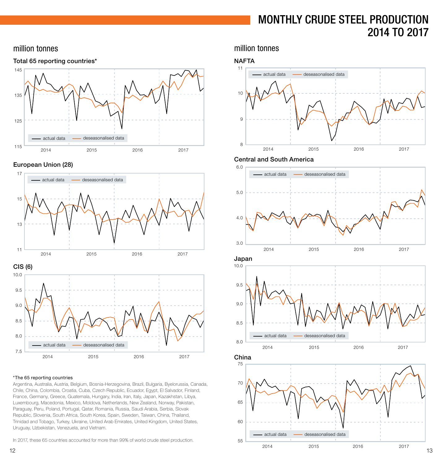# MONTHLY CRUDE STEEL PRODUCTION 2014 TO 2017

### <span id="page-6-0"></span>million tonnes



#### European Union (28)



# 2014 2015 2016 2017 7.5 8.0

#### \*The 65 reporting countries

Argentina, Australia, Austria, Belgium, Bosnia-Herzegovina, Brazil, Bulgaria, Byelorussia, Canada, Chile, China, Colombia, Croatia, Cuba, Czech Republic, Ecuador, Egypt, El Salvador, Finland, France, Germany, Greece, Guatemala, Hungary, India, Iran, Italy, Japan, Kazakhstan, Libya, Luxembourg, Macedonia, Mexico, Moldova, Netherlands, New Zealand, Norway, Pakistan, Paraguay, Peru, Poland, Portugal, Qatar, Romania, Russia, Saudi Arabia, Serbia, Slovak Republic, Slovenia, South Africa, South Korea, Spain, Sweden, Taiwan, China, Thailand, Trinidad and Tobago, Turkey, Ukraine, United Arab Emirates, United Kingdom, United States, Uruguay, Uzbekistan, Venezuela, and Vietnam.

In 2017, these 65 countries accounted for more than 99% of world crude steel production.

million tonnes

### **NAFTA**



#### Central and South America





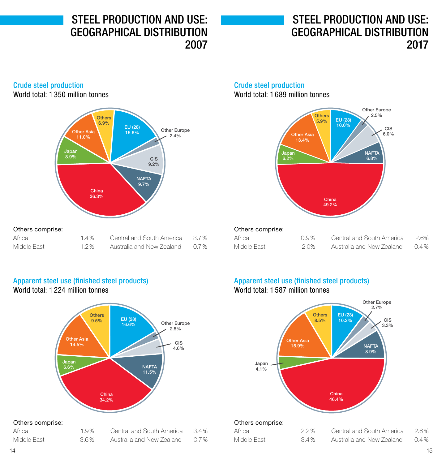<span id="page-7-0"></span>STEEL PRODUCTION AND USE: GEOGRAPHICAL DISTRIBUTION 2007

# STEEL PRODUCTION AND USE: GEOGRAPHICAL DISTRIBUTION 2017

### Crude steel production

World total: 1 350 million tonnes



#### Africa 1.4% Middle East 1.2% Central and South America 3.7% Australia and New Zealand 0.7%

#### Crude steel production World total: 1 689 million tonnes



| Others comprise: |      |
|------------------|------|
| Africa           | 0.9% |

| Africa      | 0.9% | Central and South America | 2.6%    |
|-------------|------|---------------------------|---------|
| Middle Fast | 2.0% | Australia and New Zealand | $0.4\%$ |

### Apparent steel use (finished steel products) World total: 1 224 million tonnes



#### Others comprise:

| Africa      | 1.9% | Central and South America | 3.4% |
|-------------|------|---------------------------|------|
| Middle East | 3.6% | Australia and New Zealand | 0.7% |

### Apparent steel use (finished steel products) World total: 1 587 million tonnes



#### Others comprise:

| Africa      | 2.2% | Central and South America | 2.6%    |
|-------------|------|---------------------------|---------|
| Middle Fast | 3.4% | Australia and New Zealand | $0.4\%$ |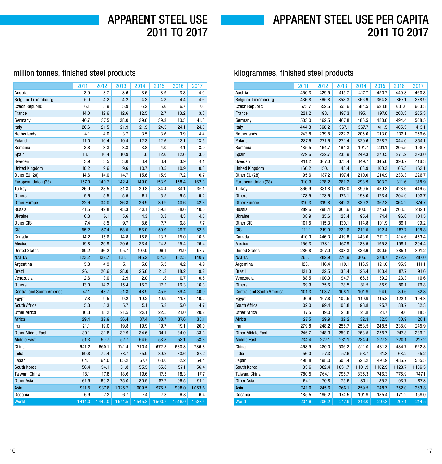# APPARENT STEEL USE PER CAPITA 2011 TO 2017

### <span id="page-8-0"></span>million tonnes, finished steel products

|                                  | 2011   | 2012   | 2013   | 2014   | 2015   | 2016   | 2017   |
|----------------------------------|--------|--------|--------|--------|--------|--------|--------|
| Austria                          | 3.9    | 3.7    | 3.6    | 3.6    | 3.9    | 3.8    | 4.0    |
| Belgium-Luxembourg               | 5.0    | 4.2    | 4.2    | 4.3    | 4.3    | 4.4    | 4.6    |
| <b>Czech Republic</b>            | 6.1    | 5.9    | 5.9    | 6.2    | 6.6    | 6.7    | 7.0    |
| France                           | 14.0   | 12.6   | 12.6   | 12.5   | 12.7   | 13.2   | 13.3   |
| Germany                          | 40.7   | 37.5   | 38.0   | 39.6   | 39.3   | 40.5   | 41.8   |
| Italy                            | 26.6   | 21.5   | 21.9   | 21.9   | 24.5   | 24.1   | 24.5   |
| Netherlands                      | 4.1    | 4.0    | 3.7    | 3.5    | 3.6    | 3.9    | 4.4    |
| Poland                           | 11.0   | 10.4   | 10.4   | 12.3   | 12.6   | 13.1   | 13.5   |
| Romania                          | 3.8    | 3.3    | 3.3    | 3.8    | 4.0    | 4.1    | 3.9    |
| Spain                            | 13.1   | 10.4   | 10.9   | 11.6   | 12.6   | 12.6   | 13.6   |
| Sweden                           | 3.9    | 3.5    | 3.6    | 3.4    | 3.4    | 3.9    | 4.1    |
| <b>United Kingdom</b>            | 10.2   | 9.6    | 9.6    | 10.7   | 10.5   | 10.9   | 10.8   |
| Other EU (28)                    | 14.6   | 14.0   | 14.7   | 15.6   | 15.9   | 17.2   | 16.7   |
| European Union (28)              | 157.0  | 140.7  | 142.4  | 149.0  | 153.9  | 158.4  | 162.3  |
| Turkey                           | 26.9   | 28.5   | 31.3   | 30.8   | 34.4   | 34.1   | 36.1   |
| <b>Others</b>                    | 5.6    | 5.5    | 5.5    | 6.1    | 5.5    | 6.5    | 6.2    |
| <b>Other Europe</b>              | 32.6   | 34.0   | 36.8   | 36.9   | 39.9   | 40.6   | 42.3   |
| Russia                           | 41.5   | 42.8   | 43.3   | 43.1   | 39.8   | 38.6   | 40.6   |
| Ukraine                          | 6.3    | 6.1    | 5.6    | 4.3    | 3.3    | 4.3    | 4.5    |
| Other CIS                        | 7.4    | 8.5    | 9.7    | 8.6    | 7.7    | 6.8    | 7.7    |
| <b>CIS</b>                       | 55.2   | 57.4   | 58.5   | 56.0   | 50.9   | 49.7   | 52.8   |
| Canada                           | 14.2   | 15.6   | 14.8   | 15.8   | 13.3   | 15.0   | 16.6   |
| Mexico                           | 19.8   | 20.9   | 20.6   | 23.4   | 24.8   | 25.4   | 26.4   |
| <b>United States</b>             | 89.2   | 96.2   | 95.7   | 107.0  | 96.1   | 91.9   | 97.7   |
| <b>NAFTA</b>                     | 123.2  | 132.7  | 131.1  | 146.2  | 134.3  | 132.3  | 140.7  |
| Argentina                        | 5.3    | 4.9    | 5.1    | 5.0    | 5.3    | 4.2    | 4.9    |
| <b>Brazil</b>                    | 26.1   | 26.6   | 28.0   | 25.6   | 21.3   | 18.2   | 19.2   |
| Venezuela                        | 2.6    | 3.0    | 2.9    | 2.0    | 1.8    | 0.7    | 0.5    |
| <b>Others</b>                    | 13.0   | 14.2   | 15.4   | 16.2   | 17.2   | 16.3   | 16.3   |
| <b>Central and South America</b> | 47.1   | 48.7   | 51.3   | 48.9   | 45.6   | 39.4   | 40.9   |
| Egypt                            | 7.8    | 9.5    | 9.2    | 10.2   | 10.9   | 11.7   | 10.2   |
| South Africa                     | 5.3    | 5.3    | 5.7    | 5.1    | 5.3    | 5.0    | 4.7    |
| <b>Other Africa</b>              | 16.3   | 18.2   | 21.5   | 22.1   | 22.5   | 21.0   | 20.2   |
| Africa                           | 29.4   | 32.9   | 36.4   | 37.4   | 38.7   | 37.6   | 35.1   |
| Iran                             | 21.1   | 19.0   | 19.8   | 19.9   | 19.7   | 19.1   | 20.0   |
| <b>Other Middle East</b>         | 30.1   | 31.8   | 32.9   | 34.6   | 34.1   | 34.0   | 33.3   |
| <b>Middle East</b>               | 51.3   | 50.7   | 52.7   | 54.5   | 53.8   | 53.1   | 53.3   |
| China                            | 641.2  | 660.1  | 741.4  | 710.4  | 672.3  | 680.3  | 736.8  |
| India                            | 69.8   | 72.4   | 73.7   | 75.9   | 80.2   | 83.6   | 87.2   |
| Japan                            | 64.1   | 64.0   | 65.2   | 67.7   | 63.0   | 62.2   | 64.4   |
| South Korea                      | 56.4   | 54.1   | 51.8   | 55.5   | 55.8   | 57.1   | 56.4   |
| Taiwan, China                    | 18.1   | 17.8   | 18.6   | 19.6   | 17.5   | 18.3   | 17.7   |
| <b>Other Asia</b>                | 61.9   | 69.3   | 75.0   | 80.5   | 87.7   | 96.5   | 91.1   |
| Asia                             | 911.5  | 937.6  | 1025.7 | 1009.5 | 976.5  | 998.0  | 1053.6 |
| <b>Oceania</b>                   | 6.9    | 7.3    | 6.7    | 7.4    | 7.3    | 6.8    | 6.4    |
| World                            | 1414.0 | 1442.0 | 1541.5 | 1545.8 | 1500.7 | 1516.0 | 1587.4 |

### kilogrammes, finished steel products

|                                  | 2011   | 2012   | 2013   | 2014   | 2015   | 2016   | 2017   |
|----------------------------------|--------|--------|--------|--------|--------|--------|--------|
| Austria                          | 460.3  | 429.5  | 415.7  | 417.7  | 450.7  | 440.3  | 460.8  |
| Belgium-Luxembourg               | 436.8  | 365.8  | 358.3  | 366.9  | 364.8  | 367.1  | 378.9  |
| <b>Czech Republic</b>            | 573.7  | 552.6  | 553.6  | 584.5  | 623.8  | 631.0  | 663.3  |
| France                           | 221.2  | 198.1  | 197.3  | 195.1  | 197.6  | 203.3  | 205.3  |
| Germany                          | 503.0  | 462.5  | 467.8  | 486.5  | 480.6  | 494.4  | 508.5  |
| Italy                            | 444.3  | 360.2  | 367.1  | 367.7  | 411.5  | 405.3  | 413.1  |
| Netherlands                      | 243.8  | 239.8  | 222.2  | 205.0  | 213.0  | 232.1  | 259.6  |
| Poland                           | 287.6  | 271.6  | 271.4  | 320.6  | 328.7  | 344.0  | 354.1  |
| Romania                          | 185.5  | 164.7  | 164.3  | 191.7  | 201.1  | 205.5  | 198.7  |
| Spain                            | 279.6  | 222.7  | 233.9  | 249.3  | 270.5  | 271.2  | 293.0  |
| Sweden                           | 411.2  | 367.0  | 373.4  | 349.7  | 345.6  | 393.7  | 416.3  |
| <b>United Kingdom</b>            | 160.2  | 150.1  | 148.4  | 163.9  | 160.3  | 165.3  | 163.1  |
| Other EU (28)                    | 195.6  | 187.2  | 197.4  | 210.0  | 214.9  | 233.3  | 226.7  |
| European Union (28)              | 310.9  | 278.2  | 281.2  | 293.9  | 303.2  | 311.6  | 318.9  |
| Turkey                           | 366.9  | 381.8  | 413.0  | 399.5  | 439.3  | 428.6  | 446.5  |
| <b>Others</b>                    | 178.5  | 173.6  | 173.1  | 193.0  | 173.4  | 204.0  | 193.7  |
| <b>Other Europe</b>              | 310.3  | 319.8  | 342.3  | 339.2  | 362.3  | 364.2  | 374.7  |
| Russia                           | 289.6  | 298.4  | 301.6  | 300.1  | 276.8  | 268.5  | 282.1  |
| <b>Ukraine</b>                   | 138.9  | 135.6  | 123.4  | 95.4   | 74.4   | 96.0   | 101.5  |
| Other CIS                        | 101.5  | 115.3  | 130.1  | 114.8  | 101.9  | 89.1   | 99.2   |
| <b>CIS</b>                       | 211.1  | 219.0  | 222.6  | 212.5  | 192.4  | 187.7  | 198.8  |
| Canada                           | 410.3  | 446.3  | 419.8  | 443.0  | 371.2  | 414.6  | 453.4  |
| Mexico                           | 166.3  | 173.1  | 167.9  | 188.5  | 196.8  | 199.1  | 204.4  |
| <b>United States</b>             | 286.8  | 307.0  | 303.3  | 336.6  | 300.5  | 285.1  | 301.2  |
| <b>NAFTA</b>                     | 265.1  | 282.9  | 276.9  | 306.1  | 278.7  | 272.2  | 287.0  |
| Argentina                        | 128.1  | 116.4  | 119.1  | 116.5  | 121.0  | 95.9   | 111.1  |
| <b>Brazil</b>                    | 131.3  | 132.5  | 138.4  | 125.4  | 103.4  | 87.7   | 91.6   |
| Venezuela                        | 88.5   | 100.0  | 94.7   | 66.3   | 59.2   | 23.3   | 16.6   |
| <b>Others</b>                    | 69.9   | 75.6   | 78.5   | 81.5   | 85.9   | 80.1   | 79.8   |
| <b>Central and South America</b> | 101.3  | 103.7  | 108.1  | 101.9  | 94.0   | 80.6   | 82.8   |
| Egypt                            | 90.6   | 107.8  | 102.5  | 110.9  | 115.8  | 122.1  | 104.3  |
| South Africa                     | 102.0  | 99.4   | 105.8  | 93.8   | 95.7   | 88.7   | 82.3   |
| <b>Other Africa</b>              | 17.5   | 19.0   | 21.8   | 21.8   | 21.7   | 19.6   | 18.5   |
| Africa                           | 27.5   | 29.9   | 32.2   | 32.3   | 32.5   | 30.9   | 28.1   |
| Iran                             | 279.8  | 248.2  | 255.7  | 253.5  | 248.5  | 238.0  | 245.9  |
| <b>Other Middle East</b>         | 246.7  | 248.3  | 250.0  | 263.5  | 255.7  | 247.8  | 239.2  |
| <b>Middle East</b>               | 234.4  | 227.1  | 231.1  | 234.4  | 227.2  | 220.1  | 217.2  |
| China                            | 468.9  | 480.0  | 536.2  | 511.0  | 481.3  | 484.7  | 522.8  |
| India                            | 56.0   | 57.3   | 57.6   | 58.7   | 61.3   | 63.2   | 65.2   |
| Japan                            | 498.8  | 498.0  | 508.4  | 528.2  | 491.9  | 486.7  | 505.5  |
| South Korea                      | 1133.6 | 1082.4 | 1031.7 | 1101.9 | 1102.9 | 1123.7 | 1106.3 |
| Taiwan, China                    | 780.5  | 764.1  | 795.7  | 835.3  | 746.3  | 775.9  | 747.1  |
| <b>Other Asia</b>                | 64.1   | 70.8   | 75.6   | 80.1   | 86.2   | 93.7   | 87.3   |
| Asia                             | 241.0  | 245.6  | 266.1  | 259.5  | 248.7  | 252.0  | 263.8  |
| Oceania                          | 185.5  | 195.2  | 174.5  | 191.9  | 185.4  | 171.2  | 159.0  |
| World                            | 204.6  | 206.2  | 217.9  | 216.0  | 207.3  | 207.1  | 214.5  |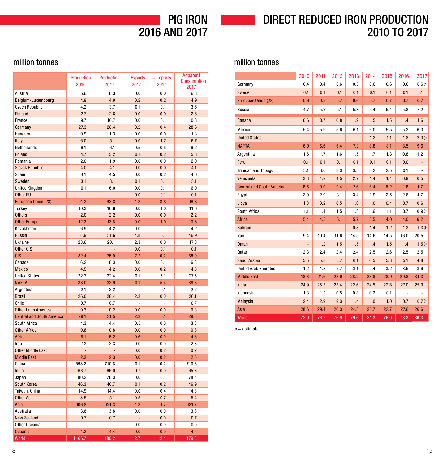# 2016 AND 2017

# PIG IRON DIRECT REDUCED IRON PRODUCTION 2010 TO 2017

### <span id="page-9-0"></span>million tonnes

|                                  | <b>Production</b><br>2016 | <b>Production</b><br>2017 | - Exports<br>2017 | $+$ Imports<br>2017 | <b>Apparent</b><br>$=$ Consumption<br>2017 |
|----------------------------------|---------------------------|---------------------------|-------------------|---------------------|--------------------------------------------|
| Austria                          | 5.6                       | 6.3                       | 0.0               | 0.0                 | 6.3                                        |
| Belgium-Luxembourg               | 4.9                       | 4.9                       | 0.2               | 0.2                 | 4.9                                        |
| <b>Czech Republic</b>            | 4.2                       | 3.7                       | 0.1               | 0.1                 | 3.6                                        |
| Finland                          | 2.7                       | 2.6                       | 0.0               | 0.0                 | 2.6                                        |
| France                           | 9.7                       | 10.7                      | 0.0               | 0.1                 | 10.8                                       |
| Germany                          | 27.3                      | 28.4                      | 0.2               | 0.4                 | 28.6                                       |
| Hungary                          | 0.9                       | 1.3                       | 0.0               | 0.0                 | 1.3                                        |
| Italy                            | 6.0                       | 5.1                       | 0.0               | 1.7                 | 6.7                                        |
| Netherlands                      | 6.1                       | 6.1                       | 0.5               | 0.5                 | 6.2                                        |
| Poland                           | 4.7                       | 5.2                       | 0.1               | 0.2                 | 5.3                                        |
| Romania                          | 2.0                       | 1.9                       | 0.0               | 0.0                 | 2.0                                        |
| <b>Slovak Republic</b>           | 4.0                       | 4.1                       | 0.0               | 0.0                 | 4.1                                        |
| Spain                            | 4.1                       | 4.5                       | 0.0               | 0.2                 | 4.6                                        |
| Sweden                           | 3.1                       | 3.1                       | 0.1               | 0.1                 | 3.1                                        |
| <b>United Kingdom</b>            | 6.1                       | 6.0                       | 0.0               | 0.1                 | 6.0                                        |
| Other EU                         | $\overline{a}$            | $\overline{a}$            | 0.0               | 0.1                 | 0.1                                        |
| European Union (28)              | 91.3                      | 93.8                      | 1.3               | 3.8                 | 96.3                                       |
| Turkey                           | 10.3                      | 10.6                      | 0.0               | 1.0                 | 11.6                                       |
| <b>Others</b>                    | 2.0                       | 2.2                       | 0.0               | 0.0                 | 2.2                                        |
| <b>Other Europe</b>              | 12.3                      | 12.8                      | 0.0               | 1.0                 | 13.8                                       |
| Kazakhstan                       | 6.9                       | 4.2                       | 0.0               | ÷,                  | 4.2                                        |
| <b>Russia</b>                    | 51.9                      | 51.6                      | 4.8               | 0.1                 | 46.9                                       |
| Ukraine                          | 23.6                      | 20.1                      | 2.3               | 0.0                 | 17.8                                       |
| Other CIS                        |                           |                           | 0.0               | 0.1                 | 0.1                                        |
| <b>CIS</b>                       | 82.4                      | 75.9                      | 7.2               | 0.2                 | 68.9                                       |
| Canada                           | 6.2                       | 6.3                       | 0.0               | 0.1                 | 6.3                                        |
| <b>Mexico</b>                    | 4.5                       | 4.2                       | 0.0               | 0.2                 | 4.5                                        |
| <b>United States</b>             | 22.3                      | 22.4                      | 0.1               | 5.1                 | 27.5                                       |
| <b>NAFTA</b>                     | 33.0                      | 32.9                      | 0.1               | 5.4                 | 38.3                                       |
| Argentina                        | 2.1                       | 2.2                       | $\overline{a}$    | 0.1                 | 2.2                                        |
| <b>Brazil</b>                    | 26.0                      | 28.4                      | 2.3               | 0.0                 | 26.1                                       |
| Chile                            | 0.7                       | 0.7                       | ÷                 | ÷,                  | 0.7                                        |
| <b>Other Latin America</b>       | 0.3                       | 0.2                       | 0.0               | 0.0                 | 0.3                                        |
| <b>Central and South America</b> | 29.1                      | 31.5                      | 2.3               | 0.1                 | 29.3                                       |
| South Africa                     | 4.3                       | 4.4                       | 0.5               | 0.0                 | 3.8                                        |
| <b>Other Africa</b>              | 0.8                       | 0.8                       | 0.0               | 0.0                 | 0.8                                        |
| <b>Africa</b>                    | 5.1                       | 5.2                       | 0.6               | 0.0                 | 4.6                                        |
| Iran                             | 2.3                       | 2.3                       | 0.0               | 0.0                 | 2.3                                        |
| <b>Other Middle East</b>         | L,                        | L,                        | 0.0               | 0.2                 | 0.2                                        |
| <b>Middle East</b>               | 2.3                       | 2.3                       | 0.0               | 0.2                 | 2.5                                        |
| China                            | 698.2                     | 710.8                     | 0.1               | 0.2                 | 710.8                                      |
| India                            | 63.7                      | 66.0                      | 0.7               | 0.0                 | 65.3                                       |
| Japan                            | 80.2                      | 78.3                      | 0.0               | 0.1                 | 78.4                                       |
| South Korea                      | 46.3                      | 46.7                      | 0.1               | 0.2                 | 46.9                                       |
| Taiwan, China                    | 14.9                      | 14.4                      | 0.0               | 0.4                 | 14.8                                       |
| <b>Other Asia</b>                | 3.5                       | 5.1                       | 0.5               | 0.7                 | 5.4                                        |
| Asia                             | 906.8                     | 921.3                     | 1.3               | 1.7                 | 921.7                                      |
| Australia                        | 3.6                       | 3.8                       | 0.0               | 0.0                 | 3.8                                        |
| <b>New Zealand</b>               | 0.7                       | 0.7                       | $\overline{a}$    | 0.0                 | 0.7                                        |
| Other Oceania                    |                           |                           | 0.0               | 0.0                 | 0.0                                        |
| <b>Oceania</b>                   | 4.3                       | 4.4                       | 0.0               | 0.0                 | 4.5                                        |
| World                            | 1166.7                    | 1180.2                    | 12.7              | 12.4                | 1179.8                                     |

### million tonnes

|                                  | 2010           | 2011           | 2012           | 2013          | 2014 | 2015 | 2016           | 2017   |
|----------------------------------|----------------|----------------|----------------|---------------|------|------|----------------|--------|
| Germany                          | 0.4            | 0.4            | 0.6            | 0.5           | 0.6  | 0.6  | 0.6            | 0.6(e) |
| Sweden                           | 0.1            | 0.1            | 0.1            | 0.1           | 0.1  | 0.1  | 0.1            | 0.1    |
| European Union (28)              | 0.6            | 0.5            | 0.7            | 0.6           | 0.7  | 0.7  | 0.7            | 0.7    |
| Russia                           | 4.7            | 5.2            | 5.1            | 5.3           | 5.4  | 5.4  | 5.8            | 7.2    |
| Canada                           | 0.6            | 0.7            | 0.8            | 1.2           | 1.5  | 1.5  | 1.4            | 1.6    |
| Mexico                           | 5.4            | 5.9            | 5.6            | 6.1           | 6.0  | 5.5  | 5.3            | 6.0    |
| <b>United States</b>             | ÷,             | L.             | $\centerdot$   | $\frac{1}{2}$ | 1.3  | 1.1  | 1.8            | 2.0(e) |
| <b>NAFTA</b>                     | 6.0            | 6.6            | 6.4            | 7.3           | 8.8  | 8.1  | 8.5            | 9.6    |
| Argentina                        | 1.6            | 1.7            | 1.6            | 1.5           | 1.7  | 1.3  | 0.8            | 1.2    |
| Peru                             | 0.1            | 0.1            | 0.1            | 0.1           | 0.1  | 0.1  | 0.0            |        |
| <b>Trinidad and Tobago</b>       | 3.1            | 3.0            | 3.3            | 3.3           | 3.2  | 2.5  | 0.1            | ÷,     |
| Venezuela                        | 3.8            | 4.2            | 4.5            | 2.7           | 1.4  | 1.4  | 0.9            | 0.5    |
| <b>Central and South America</b> | 8.5            | 9.0            | 9.4            | 7.6           | 6.4  | 5.2  | 1.8            | 1.7    |
| Egypt                            | 3.0            | 2.9            | 3.1            | 3.4           | 2.9  | 2.5  | 2.6            | 4.7    |
| Libya                            | 1.3            | 0.2            | 0.5            | 1.0           | 1.0  | 0.4  | 0.7            | 0.6    |
| South Africa                     | 1.1            | 1.4            | 1.5            | 1.3           | 1.6  | 1.1  | 0.7            | 0.9(e) |
| <b>Africa</b>                    | 5.4            | 4.5            | 5.1            | 5.7           | 5.5  | 4.0  | 4.0            | 6.2    |
| <b>Bahrain</b>                   | $\overline{a}$ | $\overline{a}$ | $\overline{a}$ | 0.8           | 1.4  | 1.2  | 1.3            | 1.3(e) |
| Iran                             | 9.4            | 10.4           | 11.6           | 14.5          | 14.6 | 14.5 | 16.0           | 20.5   |
| <b>Oman</b>                      | $\overline{a}$ | 1.2            | 1.5            | 1.5           | 1.4  | 1.5  | 1.4            | 1.5(e) |
| Qatar                            | 2.3            | 2.4            | 2.4            | 2.4           | 2.5  | 2.6  | 2.5            | 2.5    |
| Saudi Arabia                     | 5.5            | 5.8            | 5.7            | 6.1           | 6.5  | 5.8  | 5.1            | 4.8    |
| <b>United Arab Emirates</b>      | 1.2            | 1.8            | 2.7            | 3.1           | 2.4  | 3.2  | 3.5            | 3.6    |
| <b>Middle East</b>               | 18.3           | 21.6           | 23.9           | 28.2          | 28.8 | 28.9 | 29.8           | 34.3   |
| India                            | 24.9           | 25.3           | 23.4           | 22.6          | 24.5 | 22.6 | 27.0           | 25.9   |
| Indonesia                        | 1.3            | 1.2            | 0.5            | 0.8           | 0.2  | 0.1  | $\overline{a}$ |        |
| <b>Malaysia</b>                  | 2.4            | 2.9            | 2.3            | 1.4           | 1.0  | 1.0  | 0.7            | 0.7(e) |
| Asia                             | 28.6           | 29.4           | 26.3           | 24.8          | 25.7 | 23.7 | 27.6           | 26.6   |
| World                            | 72.0           | 76.7           | 76.9           | 79.6          | 81.3 | 76.0 | 78.3           | 86.3   |

e = estimate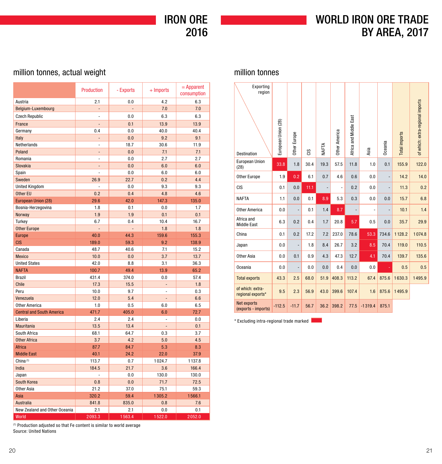IRON ORE 2016

# WORLD IRON ORE TRADE BY AREA, 2017

### <span id="page-10-0"></span>million tonnes, actual weight

|                                  | <b>Production</b> | - Exports     | $+$ Imports    | $=$ Apparent<br>consumption |
|----------------------------------|-------------------|---------------|----------------|-----------------------------|
| Austria                          | 2.1               | 0.0           | 4.2            | 6.3                         |
| Belgium-Luxembourg               |                   |               | 7.0            | 7.0                         |
| <b>Czech Republic</b>            | $\overline{a}$    | 0.0           | 6.3            | 6.3                         |
| France                           |                   | 0.1           | 13.9           | 13.9                        |
| Germany                          | 0.4               | 0.0           | 40.0           | 40.4                        |
| Italy                            | $\overline{a}$    | 0.0           | 9.2            | 9.1                         |
| Netherlands                      | $\overline{a}$    | 18.7          | 30.6           | 11.9                        |
| Poland                           | $\overline{a}$    | 0.0           | 7.1            | 7.1                         |
| Romania                          |                   | 0.0           | 2.7            | 2.7                         |
| Slovakia                         | $\overline{a}$    | 0.0           | 6.0            | 6.0                         |
| Spain                            | ä,                | 0.0           | 6.0            | 6.0                         |
| Sweden                           | 26.9              | 22.7          | 0.2            | 4.4                         |
| <b>United Kingdom</b>            | $\overline{a}$    | 0.0           | 9.3            | 9.3                         |
| Other EU                         | 0.2               | 0.4           | 4.8            | 4.6                         |
| <b>European Union (28)</b>       | 29.6              | 42.0          | 147.3          | 135.0                       |
| Bosnia-Herzegovina               | 1.8               | 0.1           | 0.0            | 1.7                         |
| Norway                           | 1.9               | 1.9           | 0.1            | 0.1                         |
| Turkey                           | 6.7               | 0.4           | 10.4           | 16.7                        |
| <b>Other Europe</b>              | $\overline{a}$    | $\frac{1}{2}$ | 1.8            | 1.8                         |
| <b>Europe</b>                    | 40.0              | 44.3          | 159.6          | 155.3                       |
| <b>CIS</b>                       | 189.0             | 59.3          | 9.2            | 138.9                       |
| Canada                           | 48.7              | 40.6          | 7.1            | 15.2                        |
| <b>Mexico</b>                    | 10.0              | 0.0           | 3.7            | 13.7                        |
| <b>United States</b>             | 42.0              | 8.8           | 3.1            | 36.3                        |
| <b>NAFTA</b>                     | 100.7             | 49.4          | 13.9           | 65.2                        |
| <b>Brazil</b>                    | 431.4             | 374.0         | 0.0            | 57.4                        |
| Chile                            | 17.3              | 15.5          |                | 1.8                         |
| Peru                             | 10.0              | 9.7           | ä,             | 0.3                         |
| Venezuela                        | 12.0              | 5.4           | $\overline{a}$ | 6.6                         |
| <b>Other America</b>             | 1.0               | 0.5           | 6.0            | 6.5                         |
| <b>Central and South America</b> | 471.7             | 405.0         | 6.0            | 72.7                        |
| Liberia                          | 2.4               | 2.4           | $\overline{a}$ | 0.0                         |
| Mauritania                       | 13.5              | 13.4          | L,             | 0.1                         |
| South Africa                     | 68.1              | 64.7          | 0.3            | 3.7                         |
| <b>Other Africa</b>              | 3.7               | 4.2           | 5.0            | 4.5                         |
| Africa                           | 87.7              | 84.7          | 5.3            | 8.3                         |
| <b>Middle East</b>               | 40.1              | 24.2          | 22.0           | 37.9                        |
| China <sup>(1)</sup>             | 113.7             | 0.7           | 1024.7         | 1137.8                      |
| India                            | 184.5             | 21.7          | 3.6            | 166.4                       |
| Japan                            | $\overline{a}$    | 0.0           | 130.0          | 130.0                       |
| South Korea                      | 0.8               | 0.0           | 71.7           | 72.5                        |
| <b>Other Asia</b>                | 21.2              | 37.0          | 75.1           | 59.3                        |
| Asia                             | 320.2             | 59.4          | 1305.2         | 1566.1                      |
| <b>Australia</b>                 | 841.8             | 835.0         | 0.8            | 7.6                         |
| New Zealand and Other Oceania    | 2.1               | 2.1           | 0.0            | 0.1                         |
| World                            | 2093.3            | 1563.4        | 1522.0         | 2052.0                      |

### million tonnes

| Exporting<br>region<br><b>Destination</b> | European Union (28) | Other Europe | ទី   | NAFTA | Other America  | Africa and Middle East | Asia           | Dceania        | Total imports | of which: extra-regional imports |
|-------------------------------------------|---------------------|--------------|------|-------|----------------|------------------------|----------------|----------------|---------------|----------------------------------|
| <b>European Union</b><br>(28)             | 33.8                | 1.8          | 30.4 | 19.3  | 57.5           | 11.8                   | 1.0            | 0.1            | 155.9         | 122.0                            |
| Other Europe                              | 1.9                 | 0.2          | 6.1  | 0.7   | 4.6            | 0.6                    | 0.0            | $\overline{a}$ | 14.2          | 14.0                             |
| <b>CIS</b>                                | 0.1                 | 0.0          | 11.1 | -     | $\overline{a}$ | 0.2                    | 0.0            | $\overline{a}$ | 11.3          | 0.2                              |
| <b>NAFTA</b>                              | 1.1                 | 0.0          | 0.1  | 8.9   | 5.3            | 0.3                    | 0.0            | 0.0            | 15.7          | 6.8                              |
| <b>Other America</b>                      | 0.0                 |              | 0.1  | 1.4   | 8.7            |                        | $\overline{a}$ |                | 10.1          | 1.4                              |
| Africa and<br><b>Middle East</b>          | 6.3                 | 0.2          | 0.4  | 1.7   | 20.8           | 5.7                    | 0.5            | 0.0            | 35.7          | 29.9                             |
| China                                     | 0.1                 | 0.2          | 17.2 | 7.2   | 237.0          | 78.6                   | 53.3           | 734.6          | 1128.2        | 1074.8                           |
| Japan                                     | 0.0                 |              | 1.8  | 8.4   | 26.7           | 3.2                    | 8.5            | 70.4           | 119.0         | 110.5                            |
| Other Asia                                | 0.0                 | 0.1          | 0.9  | 4.3   | 47.3           | 12.7                   | 4.1            | 70.4           | 139.7         | 135.6                            |
| <b>Oceania</b>                            | 0.0                 |              | 0.0  | 0.0   | 0.4            | 0.0                    | 0.0            |                | 0.5           | 0.5                              |
| <b>Total exports</b>                      | 43.3                | 2.5          | 68.0 | 51.9  | 408.3          | 113.2                  | 67.4           | 875.6          | 1630.3        | 1495.9                           |
| of which: extra-<br>regional exports*     | 9.5                 | 2.3          | 56.9 | 43.0  | 399.6          | 107.4                  | 1.6            | 875.6          | 1495.9        |                                  |
| Net exports<br>(exports - imports)        | $-112.5$            | $-11.7$      | 56.7 | 36.2  | 398.2          | 77.5                   | $-1319.4$      | 875.1          |               |                                  |

\* Excluding intra-regional trade marked

(1) Production adjusted so that Fe content is similar to world average Source: United Nations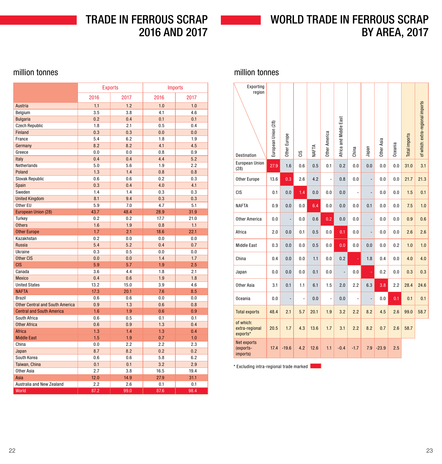TRADE IN FERROUS SCRAP 2016 AND 2017

# WORLD TRADE IN FERROUS SCRAP BY AREA, 2017

### <span id="page-11-0"></span>million tonnes

|                                        | <b>Exports</b> |      | <b>Imports</b> |      |  |  |
|----------------------------------------|----------------|------|----------------|------|--|--|
|                                        | 2016           | 2017 | 2016           | 2017 |  |  |
| Austria                                | 1.1            | 1.2  | 1.0            | 1.0  |  |  |
| Belgium                                | 3.5            | 3.8  | 4.1            | 4.6  |  |  |
| <b>Bulgaria</b>                        | 0.2            | 0.4  | 0.1            | 0.1  |  |  |
| <b>Czech Republic</b>                  | 1.8            | 2.1  | 0.5            | 0.4  |  |  |
| <b>Finland</b>                         | 0.3            | 0.3  | 0.0            | 0.0  |  |  |
| France                                 | 5.4            | 6.2  | 1.8            | 1.9  |  |  |
| Germany                                | 8.2            | 8.2  | 4.1            | 4.5  |  |  |
| Greece                                 | 0.0            | 0.0  | 0.8            | 0.9  |  |  |
| Italy                                  | 0.4            | 0.4  | 4.4            | 5.2  |  |  |
| Netherlands                            | 5.0            | 5.6  | 1.9            | 2.2  |  |  |
| Poland                                 | 1.3            | 1.4  | 0.8            | 0.8  |  |  |
| <b>Slovak Republic</b>                 | 0.6            | 0.6  | 0.2            | 0.3  |  |  |
| Spain                                  | 0.3            | 0.4  | 4.0            | 4.1  |  |  |
| Sweden                                 | 1.4            | 1.4  | 0.3            | 0.3  |  |  |
| <b>United Kingdom</b>                  | 8.1            | 9.4  | 0.3            | 0.3  |  |  |
| Other EU                               | 5.9            | 7.0  | 4.7            | 5.1  |  |  |
| <b>European Union (28)</b>             | 43.7           | 48.4 | 28.9           | 31.9 |  |  |
| Turkey                                 | 0.2            | 0.2  | 17.7           | 21.0 |  |  |
| <b>Others</b>                          | 1.6            | 1.9  | 0.8            | 1.1  |  |  |
| <b>Other Europe</b>                    | 1.7            | 2.1  | 18.6           | 22.1 |  |  |
| Kazakhstan                             | 0.2            | 0.0  | 0.0            | 0.0  |  |  |
| <b>Russia</b>                          | 5.4            | 5.2  | 0.4            | 0.7  |  |  |
| Ukraine                                | 0.3            | 0.5  | 0.0            | 0.0  |  |  |
| Other CIS                              | 0.0            | 0.0  | 1.4            | 1.7  |  |  |
| <b>CIS</b>                             | 5.9            | 5.7  | 1.9            | 2.5  |  |  |
| Canada                                 | 3.6            | 4.4  | 1.8            | 2.1  |  |  |
| Mexico                                 | 0.4            | 0.6  | 1.9            | 1.8  |  |  |
| <b>United States</b>                   | 13.2           | 15.0 | 3.9            | 4.6  |  |  |
| <b>NAFTA</b>                           | 17.3           | 20.1 | 7.6            | 8.5  |  |  |
| Brazil                                 | 0.6            | 0.6  | 0.0            | 0.0  |  |  |
| <b>Other Central and South America</b> | 0.9            | 1.3  | 0.6            | 0.8  |  |  |
| <b>Central and South America</b>       | 1.6            | 1.9  | 0.6            | 0.9  |  |  |
| South Africa                           | 0.6            | 0.5  | 0.1            | 0.1  |  |  |
| <b>Other Africa</b>                    | 0.6            | 0.9  | 1.3            | 0.4  |  |  |
| <b>Africa</b>                          | 1.3            | 1.4  | 1.3            | 0.4  |  |  |
| <b>Middle East</b>                     | 1.5            | 1.9  | 0.7            | 1.0  |  |  |
| China                                  | 0.0            | 2.2  | 2.2            | 2.3  |  |  |
| Japan                                  | 8.7            | 8.2  | 0.2            | 0.2  |  |  |
| South Korea                            | 0.6            | 0.6  | 5.8            | 6.2  |  |  |
| Taiwan, China                          | 0.1            | 0.1  | 3.2            | 2.9  |  |  |
| Other Asia                             | 2.7            | 3.8  | 16.5           | 19.4 |  |  |
| Asia                                   | 12.0           | 14.9 | 27.9           | 31.1 |  |  |
| Australia and New Zealand              | 2.2            | 2.6  | 0.1            | 0.1  |  |  |
| World                                  | 87.2           | 99.0 | 87.6           | 98.4 |  |  |

### million tonnes

| Exporting<br>region<br>Destination      | European Union (28) | Other Europe   | SĽ             | <b>NAFTA</b> | Other America  | Africa and Middle East | China          | Japan                    | Other Asia | Dceania | Total imports | of which: extra-regional imports |
|-----------------------------------------|---------------------|----------------|----------------|--------------|----------------|------------------------|----------------|--------------------------|------------|---------|---------------|----------------------------------|
| European Union<br>(28)                  | 27.9                | 1.6            | 0.6            | 0.5          | 0.1            | 0.2                    | 0.0            | 0.0                      | 0.0        | 0.0     | 31.0          | 3.1                              |
| Other Europe                            | 13.6                | 0.3            | 2.6            | 4.2          | $\overline{a}$ | 0.8                    | 0.0            | $\overline{a}$           | 0.0        | 0.0     | 21.7          | 21.3                             |
| CIS                                     | 0.1                 | 0.0            | 1.4            | 0.0          | 0.0            | 0.0                    | $\frac{1}{2}$  | $\overline{a}$           | 0.0        | 0.0     | 1.5           | 0.1                              |
| <b>NAFTA</b>                            | 0.9                 | 0.0            | 0.0            | 6.4          | 0.0            | 0.0                    | 0.0            | 0.1                      | 0.0        | 0.0     | 7.5           | 1.0                              |
| <b>Other America</b>                    | 0.0                 | $\overline{a}$ | 0.0            | 0.6          | 0.2            | 0.0                    | 0.0            | $\overline{\phantom{m}}$ | 0.0        | 0.0     | 0.9           | 0.6                              |
| Africa                                  | 2.0                 | 0.0            | 0.1            | 0.5          | 0.0            | 0.1                    | 0.0            | $\overline{a}$           | 0.0        | 0.0     | 2.6           | 2.6                              |
| <b>Middle East</b>                      | 0.3                 | 0.0            | 0.0            | 0.5          | 0.0            | 0.0                    | 0.0            | 0.0                      | 0.0        | 0.2     | 1.0           | 1.0                              |
| China                                   | 0.4                 | 0.0            | 0.0            | 1.1          | 0.0            | 0.2                    |                | 1.8                      | 0.4        | 0.0     | 4.0           | 4.0                              |
| Japan                                   | 0.0                 | 0.0            | 0.0            | 0.1          | 0.0            | $\overline{a}$         | 0.0            | L,                       | 0.2        | 0.0     | 0.3           | 0.3                              |
| Other Asia                              | 3.1                 | 0.1            | 1.1            | 6.1          | 1.5            | 2.0                    | 2.2            | 6.3                      | 3.8        | 2.2     | 28.4          | 24.6                             |
| <b>Oceania</b>                          | 0.0                 | $\overline{a}$ | $\overline{a}$ | 0.0          | $\overline{a}$ | 0.0                    | $\overline{a}$ | $\overline{a}$           | 0.0        | 0.1     | 0.1           | 0.1                              |
| <b>Total exports</b>                    | 48.4                | 2.1            | 5.7            | 20.1         | 1.9            | 3.2                    | 2.2            | 8.2                      | 4.5        | 2.6     | 99.0          | 58.7                             |
| of which:<br>extra-regional<br>exports* | 20.5                | 1.7            | 4.3            | 13.6         | 1.7            | 3.1                    | 2.2            | 8.2                      | 0.7        | 2.6     | 58.7          |                                  |
| Net exports<br>(exports-<br>imports)    | 17.4                | $-19.6$        | 4.2            | 12.6         | 1.1            | $-0.4$                 | $-1.7$         | 7.9                      | $-23.9$    | 2.5     |               |                                  |

\* Excluding intra-regional trade marked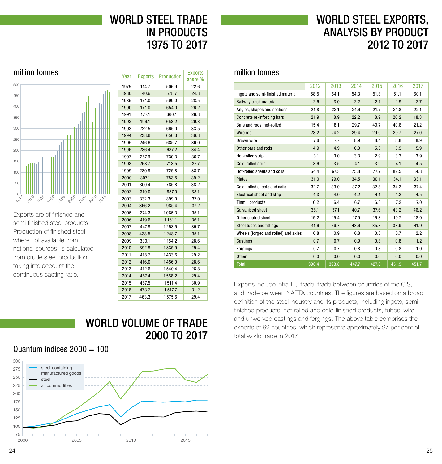# WORLD STEEL TRADE IN PRODUCTS 1975 TO 2017

# WORLD STEEL EXPORTS, ANALYSIS BY PRODUCT 2012 TO 2017

### <span id="page-12-0"></span>million tonnes



Exports are of finished and semi-finished steel products. Production of finished steel, where not available from national sources, is calculated from crude steel production, taking into account the continuous casting ratio.

| Year | <b>Exports</b> | <b>Production</b> | <b>Exports</b><br>share % |
|------|----------------|-------------------|---------------------------|
| 1975 | 114.7          | 506.9             | 22.6                      |
| 1980 | 140.6          | 578.7             | 24.3                      |
| 1985 | 171.0          | 599.0             | 28.5                      |
| 1990 | 171.0          | 654.0             | 26.2                      |
| 1991 | 177.1          | 660.1             | 26.8                      |
| 1992 | 196.1          | 658.2             | 29.8                      |
| 1993 | 222.5          | 665.0             | 33.5                      |
| 1994 | 238.6          | 656.3             | 36.3                      |
| 1995 | 246.6          | 685.7             | 36.0                      |
| 1996 | 236.4          | 687.2             | 34.4                      |
| 1997 | 267.9          | 730.3             | 36.7                      |
| 1998 | 268.7          | 713.5             | 37.7                      |
| 1999 | 280.8          | 725.8             | 38.7                      |
| 2000 | 307.1          | 783.5             | 39.2                      |
| 2001 | 300.4          | 785.8             | 38.2                      |
| 2002 | 319.0          | 837.0             | 38.1                      |
| 2003 | 332.3          | 899.0             | 37.0                      |
| 2004 | 366.2          | 985.4             | 37.2                      |
| 2005 | 374.3          | 1065.3            | 35.1                      |
| 2006 | 419.6          | 1161.1            | 36.1                      |
| 2007 | 447.9          | 1253.5            | 35.7                      |
| 2008 | 438.5          | 1248.7            | 35.1                      |
| 2009 | 330.1          | 1154.2            | 28.6                      |
| 2010 | 392.9          | 1335.9            | 29.4                      |
| 2011 | 418.7          | 1433.6            | 29.2                      |
| 2012 | 416.0          | 1456.0            | 28.6                      |
| 2013 | 412.6          | 1540.4            | 26.8                      |
| 2014 | 457.4          | 1558.2            | 29.4                      |
| 2015 | 467.5          | 1511.4            | 30.9                      |
| 2016 | 473.7          | 1517.7            | 31.2                      |
| 2017 | 463.3          | 1575.6            | 29.4                      |

WORLD VOLUME OF TRADE

2000 TO 2017

### million tonnes

|                                      | 2012  | 2013  | 2014  | 2015  | 2016  | 2017  |
|--------------------------------------|-------|-------|-------|-------|-------|-------|
| Ingots and semi-finished material    | 58.5  | 54.1  | 54.3  | 51.8  | 51.1  | 60.1  |
| Railway track material               | 2.6   | 3.0   | 2.2   | 2.1   | 1.9   | 2.7   |
| Angles, shapes and sections          | 21.8  | 22.1  | 24.6  | 21.7  | 24.8  | 22.1  |
| Concrete re-inforcing bars           | 21.9  | 18.9  | 22.2  | 18.9  | 20.2  | 18.3  |
| Bars and rods, hot-rolled            | 15.4  | 18.1  | 29.7  | 40.7  | 40.6  | 21.2  |
| Wire rod                             | 23.2  | 24.2  | 29.4  | 29.0  | 29.7  | 27.0  |
| Drawn wire                           | 7.6   | 7.7   | 8.9   | 8.4   | 8.8   | 8.9   |
| Other bars and rods                  | 4.9   | 4.9   | 6.0   | 5.3   | 5.9   | 5.9   |
| Hot-rolled strip                     | 3.1   | 3.0   | 3.3   | 2.9   | 3.3   | 3.9   |
| Cold-rolled strip                    | 3.6   | 3.5   | 4.1   | 3.9   | 4.1   | 4.5   |
| Hot-rolled sheets and coils          | 64.4  | 67.3  | 75.8  | 77.7  | 82.5  | 84.8  |
| <b>Plates</b>                        | 31.0  | 29.0  | 34.5  | 30.1  | 34.1  | 33.1  |
| Cold-rolled sheets and coils         | 32.7  | 33.0  | 37.2  | 32.8  | 34.3  | 37.4  |
| <b>Electrical sheet and strip</b>    | 4.3   | 4.0   | 4.2   | 4.1   | 4.2   | 4.5   |
| <b>Tinmill products</b>              | 6.2   | 6.4   | 6.7   | 6.3   | 7.2   | 7.0   |
| Galvanised sheet                     | 36.1  | 37.1  | 40.7  | 37.6  | 43.2  | 46.2  |
| Other coated sheet                   | 15.2  | 15.4  | 17.9  | 16.3  | 19.7  | 18.0  |
| <b>Steel tubes and fittings</b>      | 41.6  | 39.7  | 43.6  | 35.3  | 33.9  | 41.9  |
| Wheels (forged and rolled) and axles | 0.8   | 0.9   | 0.8   | 0.8   | 0.7   | 2.2   |
| Castings                             | 0.7   | 0.7   | 0.9   | 0.8   | 0.8   | 1.2   |
| Forgings                             | 0.7   | 0.7   | 0.8   | 0.8   | 0.8   | 1.0   |
| <b>Other</b>                         | 0.0   | 0.0   | 0.0   | 0.0   | 0.0   | 0.0   |
| <b>Total</b>                         | 396.4 | 393.8 | 447.7 | 427.0 | 451.9 | 451.7 |

Exports include intra-EU trade, trade between countries of the CIS, and trade between NAFTA countries. The figures are based on a broad definition of the steel industry and its products, including ingots, semifinished products, hot-rolled and cold-finished products, tubes, wire, and unworked castings and forgings. The above table comprises the exports of 62 countries, which represents aproximately 97 per cent of total world trade in 2017.

### Quantum indices  $2000 = 100$

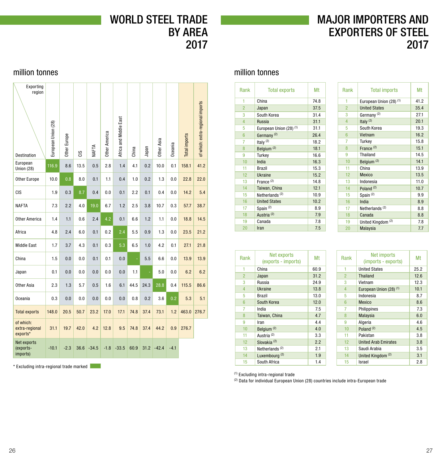# WORLD STEEL TRADE BY AREA 2017

# MAJOR IMPORTERS AND EXPORTERS OF STEEL 2017

### <span id="page-13-0"></span>million tonnes

| Exporting<br>region<br>Destination      | European Union (28) | Other Europe | SC   | <b>NAFTA</b> | Other America | Africa and Middle East | China | Japan | Other Asia | Jceania | Total imports | of which: extra-regional imports |
|-----------------------------------------|---------------------|--------------|------|--------------|---------------|------------------------|-------|-------|------------|---------|---------------|----------------------------------|
| European<br><b>Union (28)</b>           | 116.9               | 8.6          | 13.5 | 0.5          | 2.8           | 1.4                    | 4.1   | 0.2   | 10.0       | 0.1     | 158.1         | 41.2                             |
| Other Europe                            | 10.0                | 0.8          | 8.0  | 0.1          | 1.1           | 0.4                    | 1.0   | 0.2   | 1.3        | 0.0     | 22.8          | 22.0                             |
| CIS                                     | 1.9                 | 0.3          | 8.7  | 0.4          | 0.0           | 0.1                    | 2.2   | 0.1   | 0.4        | 0.0     | 14.2          | 5.4                              |
| <b>NAFTA</b>                            | 7.3                 | 2.2          | 4.0  | 19.0         | 6.7           | 1.2                    | 2.5   | 3.8   | 10.7       | 0.3     | 57.7          | 38.7                             |
| <b>Other America</b>                    | 1.4                 | 1.1          | 0.6  | 2.4          | 4.2           | 0.1                    | 6.6   | 1.2   | 1.1        | 0.0     | 18.8          | 14.5                             |
| Africa                                  | 4.8                 | 2.4          | 6.0  | 0.1          | 0.2           | 2.4                    | 5.5   | 0.9   | 1.3        | 0.0     | 23.5          | 21.2                             |
| <b>Middle East</b>                      | 1.7                 | 3.7          | 4.3  | 0.1          | 0.3           | 5.3                    | 6.5   | 1.0   | 4.2        | 0.1     | 27.1          | 21.8                             |
| China                                   | 1.5                 | 0.0          | 0.0  | 0.1          | 0.1           | 0.0                    |       | 5.5   | 6.6        | 0.0     | 13.9          | 13.9                             |
| Japan                                   | 0.1                 | 0.0          | 0.0  | 0.0          | 0.0           | 0.0                    | 1.1   | ÷     | 5.0        | 0.0     | 6.2           | 6.2                              |
| Other Asia                              | 2.3                 | 1.3          | 5.7  | 0.5          | 1.6           | 6.1                    | 44.5  | 24.3  | 28.8       | 0.4     | 115.5         | 86.6                             |
| <b>Oceania</b>                          | 0.3                 | 0.0          | 0.0  | 0.0          | 0.0           | 0.0                    | 0.8   | 0.2   | 3.6        | 0.2     | 5.3           | 5.1                              |
| <b>Total exports</b>                    | 148.0               | 20.5         | 50.7 | 23.2         | 17.0          | 17.1                   | 74.8  | 37.4  | 73.1       | 1.2     | 463.0         | 276.7                            |
| of which:<br>extra-regional<br>exports* | 31.1                | 19.7         | 42.0 | 4.2          | 12.8          | 9.5                    | 74.8  | 37.4  | 44.2       | 0.9     | 276.7         |                                  |
| Net exports<br>(exports-<br>imports)    | $-10.1$             | $-2.3$       | 36.6 | $-34.5$      | $-1.8$        | $-33.5$                | 60.9  | 31.2  | $-42.4$    | $-4.1$  |               |                                  |

\* Excluding intra-regional trade marked

### million tonnes

| <b>Rank</b>    | <b>Total exports</b>       | Mt   |
|----------------|----------------------------|------|
| 1              | China                      | 74.8 |
| $\overline{2}$ | Japan                      | 37.5 |
| 3              | South Korea                | 31.4 |
| $\overline{4}$ | <b>Russia</b>              | 31.1 |
| 5              | European Union (28) (1)    | 31.1 |
| 6              | Germany <sup>(2)</sup>     | 26.4 |
| 7              | Italy $(2)$                | 18.2 |
| 8              | Belgium <sup>(2)</sup>     | 18.1 |
| 9              | Turkey                     | 16.6 |
| 10             | India                      | 16.3 |
| 11             | <b>Brazil</b>              | 15.3 |
| 12             | Ukraine                    | 15.2 |
| 13             | France $(2)$               | 14.8 |
| 14             | Taiwan, China              | 12.1 |
| 15             | Netherlands <sup>(2)</sup> | 10.9 |
| 16             | <b>United States</b>       | 10.2 |
| 17             | Spain <sup>(2)</sup>       | 8.9  |
| 18             | Austria <sup>(2)</sup>     | 7.9  |
| 19             | Canada                     | 7.8  |
| 20             | Iran                       | 7.5  |

| Rank           | <b>Total imports</b>               | Mt   |
|----------------|------------------------------------|------|
| 1              | European Union (28) <sup>(1)</sup> | 41.2 |
| $\overline{2}$ | <b>United States</b>               | 35.4 |
| 3              | Germany <sup>(2)</sup>             | 27.1 |
| $\overline{4}$ | Italy $(2)$                        | 20.1 |
| 5              | South Korea                        | 19.3 |
| 6              | Vietnam                            | 16.2 |
| 7              | Turkey                             | 15.8 |
| 8              | France <sup>(2)</sup>              | 15.1 |
| 9              | Thailand                           | 14.5 |
| 10             | Belgium <sup>(2)</sup>             | 14.1 |
| 11             | China                              | 13.9 |
| 12             | Mexico                             | 13.5 |
| 13             | Indonesia                          | 11.0 |
| 14             | Poland <sup>(2)</sup>              | 10.7 |
| 15             | Spain <sup>(2)</sup>               | 9.9  |
| 16             | India                              | 8.9  |
| 17             | Netherlands <sup>(2)</sup>         | 8.8  |
| 18             | Canada                             | 8.8  |
| 19             | United Kingdom <sup>(2)</sup>      | 7.8  |
| 20             | Malaysia                           | 7.7  |

| <b>Rank</b>    | Net exports<br>(exports - imports) | Mt   |
|----------------|------------------------------------|------|
| 1              | China                              | 60.9 |
| $\overline{2}$ | Japan                              | 31.2 |
| 3              | Russia                             | 24.9 |
| 4              | Ukraine                            | 13.8 |
| 5              | <b>Brazil</b>                      | 13.0 |
| $6\phantom{1}$ | South Korea                        | 12.0 |
| 7              | India                              | 7.5  |
| 8              | Taiwan, China                      | 4.7  |
| 9              | Iran                               | 4.4  |
| 10             | Belgium <sup>(2)</sup>             | 4.0  |
| 11             | Austria <sup>(2)</sup>             | 3.3  |
| 12             | Slovakia <sup>(2)</sup>            | 2.2  |
| 13             | Netherlands <sup>(2)</sup>         | 2.1  |
| 14             | Luxembourg <sup>(2)</sup>          | 1.9  |
| 15             | South Africa                       | 1.4  |

| Rank           | Net imports<br>(imports - exports) | Мt   |
|----------------|------------------------------------|------|
| 1              | <b>United States</b>               | 25.2 |
| $\overline{2}$ | <b>Thailand</b>                    | 12.6 |
| 3              | Vietnam                            | 12.3 |
| $\overline{4}$ | European Union (28) <sup>(1)</sup> | 10.1 |
| 5              | Indonesia                          | 8.7  |
| $6\phantom{1}$ | Mexico                             | 8.6  |
| 7              | Philippines                        | 7.3  |
| 8              | Malaysia                           | 6.0  |
| 9              | Algeria                            | 4.6  |
| 10             | Poland <sup>(2)</sup>              | 4.5  |
| 11             | Pakistan                           | 3.8  |
| 12             | <b>United Arab Emirates</b>        | 3.8  |
| 13             | Saudi Arabia                       | 3.5  |
| 14             | United Kingdom <sup>(2)</sup>      | 3.1  |
| 15             | Israel                             | 2.8  |

(1) Excluding intra-regional trade

(2) Data for individual European Union (28) countries include intra-European trade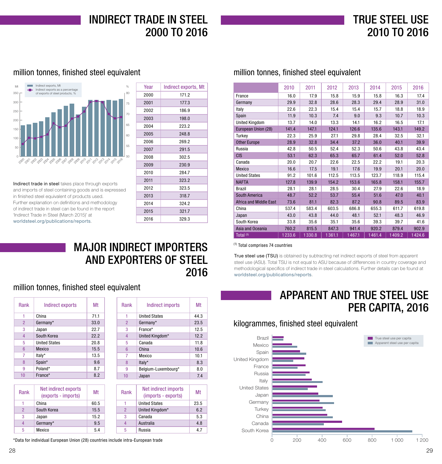# TRUE STEEL USE 2010 TO 2016

### <span id="page-14-0"></span>million tonnes, finished steel equivalent million tonnes, finished steel equivalent



Indirect trade in steel takes place through exports and imports of steel containing goods and is expressed in finished steel equivalent of products used. Further explanation on definitions and methodology of indirect trade in steel can be found in the report 'Indirect Trade in Steel (March 2015)' at [worldsteel.org/publications/reports](http://worldsteel.org/publications/reports).

| Year | Indirect exports, Mt |
|------|----------------------|
| 2000 | 171.2                |
| 2001 | 177.3                |
| 2002 | 186.9                |
| 2003 | 198.0                |
| 2004 | 223.2                |
| 2005 | 248.8                |
| 2006 | 269.2                |
| 2007 | 291.5                |
| 2008 | 302.5                |
| 2009 | 230.9                |
| 2010 | 284.7                |
| 2011 | 323.2                |
| 2012 | 323.5                |
| 2013 | 318.7                |
| 2014 | 324.2                |
| 2015 | 321.7                |
| 2016 | 329.3                |

## MAJOR INDIRECT IMPORTERS AND EXPORTERS OF STEEL 2016

### million tonnes, finished steel equivalent

| <b>Rank</b>    | Indirect exports     | Mt   |
|----------------|----------------------|------|
| 1              | China                | 71.1 |
| $\overline{2}$ | Germany*             | 33.0 |
| 3              | Japan                | 22.7 |
| $\overline{4}$ | South Korea          | 22.2 |
| 5              | <b>United States</b> | 20.8 |
| 6              | Mexico               | 15.5 |
| 7              | Italy*               | 13.5 |
| 8              | Spain*               | 9.6  |
| 9              | Poland*              | 8.7  |
| 10             | France*              | 8.2  |

| Rank           | Net indirect exports<br>(exports - imports) | Mt   |
|----------------|---------------------------------------------|------|
|                | China                                       | 60.5 |
| $\mathfrak{p}$ | South Korea                                 | 15.5 |
| 3              | Japan                                       | 15.2 |
|                | Germany*                                    | 9.5  |
| 5              | Mexico                                      | 54   |

| Rank           | Indirect imports                            | Mt   |
|----------------|---------------------------------------------|------|
| 1              | <b>United States</b>                        | 44.3 |
| $\overline{2}$ | Germany*                                    | 23.5 |
| 3              | France*                                     | 12.5 |
| 4              | United Kingdom*                             | 12.2 |
| 5              | Canada                                      | 11.8 |
| 6              | China                                       | 10.6 |
| 7              | Mexico                                      | 10.1 |
| 8              | Italy*                                      | 8.3  |
| 9              | Belgium-Luxembourg*                         | 8.0  |
| 10             | Japan                                       | 7.4  |
|                |                                             |      |
| Rank           | Net indirect imports<br>(imnorte - exnorte) | Мt   |

| Rank           | <b>NET IHAILECT IHIDOLIS</b><br>(imports - exports) | Mt   |
|----------------|-----------------------------------------------------|------|
|                | <b>United States</b>                                | 23.5 |
| $\overline{2}$ | United Kingdom*                                     | 6.2  |
| 3              | Canada                                              | 5.3  |
|                | Australia                                           | 4.8  |
| 5              | Russia                                              | 4.7  |
|                |                                                     |      |

\*Data for individual European Union (28) countries include intra-European trade

|                               | 2010   | 2011   | 2012   | 2013   | 2014   | 2015   | 2016   |
|-------------------------------|--------|--------|--------|--------|--------|--------|--------|
| France                        | 16.0   | 17.9   | 15.8   | 15.9   | 15.8   | 16.3   | 17.4   |
| Germany                       | 29.9   | 32.8   | 28.6   | 28.3   | 29.4   | 28.9   | 31.0   |
| Italy                         | 22.6   | 22.3   | 15.4   | 15.4   | 15.7   | 18.8   | 18.9   |
| Spain                         | 11.9   | 10.3   | 7.4    | 9.0    | 9.3    | 10.7   | 10.3   |
| <b>United Kingdom</b>         | 13.7   | 14.0   | 13.3   | 14.1   | 16.2   | 16.5   | 17.1   |
| European Union (28)           | 141.4  | 147.1  | 124.1  | 126.6  | 135.6  | 143.1  | 149.2  |
| Turkey                        | 22.3   | 25.9   | 27.1   | 29.8   | 28.4   | 32.5   | 32.1   |
| <b>Other Europe</b>           | 28.9   | 32.8   | 34.4   | 37.2   | 36.0   | 40.1   | 39.9   |
| Russia                        | 42.8   | 50.5   | 52.4   | 52.3   | 50.6   | 43.8   | 43.4   |
| <b>CIS</b>                    | 53.1   | 62.3   | 65.3   | 65.7   | 61.4   | 52.0   | 52.8   |
| Canada                        | 20.0   | 20.7   | 22.6   | 22.5   | 22.2   | 19.1   | 20.3   |
| Mexico                        | 16.6   | 17.5   | 19.1   | 17.6   | 19.9   | 20.1   | 20.0   |
| <b>United States</b>          | 91.2   | 101.6  | 112.5  | 113.5  | 123.7  | 118.9  | 115.4  |
| <b>NAFTA</b>                  | 127.8  | 139.9  | 154.2  | 153.6  | 165.8  | 158.1  | 155.7  |
| <b>Brazil</b>                 | 28.1   | 28.1   | 28.5   | 30.4   | 27.9   | 22.6   | 18.9   |
| <b>South America</b>          | 48.7   | 52.2   | 53.7   | 55.4   | 51.6   | 47.0   | 40.1   |
| <b>Africa and Middle East</b> | 73.6   | 81.1   | 82.3   | 87.2   | 90.8   | 89.5   | 83.9   |
| China                         | 537.4  | 583.4  | 603.5  | 686.8  | 655.3  | 611.7  | 619.8  |
| Japan                         | 43.0   | 43.8   | 44.0   | 48.1   | 52.1   | 48.3   | 46.9   |
| South Korea                   | 33.8   | 35.6   | 35.1   | 35.6   | 39.3   | 39.7   | 41.6   |
| Asia and Oceania              | 760.2  | 815.5  | 847.3  | 941.4  | 920.2  | 879.4  | 902.9  |
| Total <sup>(1)</sup>          | 1233.6 | 1330.8 | 1361.1 | 1467.1 | 1461.4 | 1409.2 | 1424.6 |

(1) Total comprises 74 countries

True steel use (TSU) is obtained by subtracting net indirect exports of steel from apparent steel use (ASU). Total TSU is not equal to ASU because of differences in country coverage and methodological specifics of indirect trade in steel calculations. Further details can be found at [worldsteel.org/publications/reports](http://worldsteel.org/publications/reports).

# APPARENT AND TRUE STEEL USE PER CAPITA, 2016

### kilogrammes, finished steel equivalent

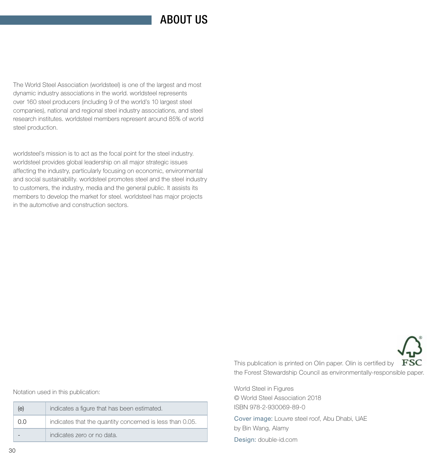# ABOUT US

The World Steel Association (worldsteel) is one of the largest and most dynamic industry associations in the world. worldsteel represents over 160 steel producers (including 9 of the world's 10 largest steel companies), national and regional steel industry associations, and steel research institutes. worldsteel members represent around 85% of world steel production.

worldsteel's mission is to act as the focal point for the steel industry. worldsteel provides global leadership on all major strategic issues affecting the industry, particularly focusing on economic, environmental and social sustainability. worldsteel promotes steel and the steel industry to customers, the industry, media and the general public. It assists its members to develop the market for steel. worldsteel has major projects in the automotive and construction sectors.



Notation used in this publication:

| (e) | indicates a figure that has been estimated.              |  |  |  |  |
|-----|----------------------------------------------------------|--|--|--|--|
| 0.0 | indicates that the quantity concerned is less than 0.05. |  |  |  |  |
|     | indicates zero or no data.                               |  |  |  |  |

This publication is printed on Olin paper. Olin is certified by  $FSC$ the Forest Stewardship Council as environmentally-responsible paper.

World Steel in Figures © World Steel Association 2018 ISBN 978-2-930069-89-0

Cover image: Louvre steel roof, Abu Dhabi, UAE by Bin Wang, Alamy

Design: [double-id.com](http://double-id.com)